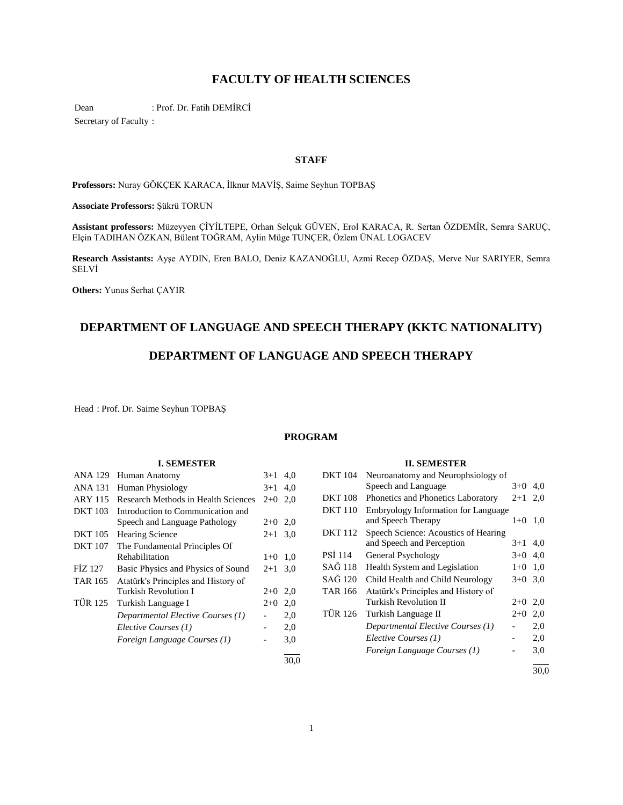# **FACULTY OF HEALTH SCIENCES**

Dean : Prof. Dr. Fatih DEMİRCİ Secretary of Faculty :

# **STAFF**

**Professors:** Nuray GÖKÇEK KARACA, İlknur MAVİŞ, Saime Seyhun TOPBAŞ

**Associate Professors:** Şükrü TORUN

**Assistant professors:** Müzeyyen ÇİYİLTEPE, Orhan Selçuk GÜVEN, Erol KARACA, R. Sertan ÖZDEMİR, Semra SARUÇ, Elçin TADIHAN ÖZKAN, Bülent TOĞRAM, Aylin Müge TUNÇER, Özlem ÜNAL LOGACEV

**Research Assistants:** Ayşe AYDIN, Eren BALO, Deniz KAZANOĞLU, Azmi Recep ÖZDAŞ, Merve Nur SARIYER, Semra SELVİ

**Others:** Yunus Serhat ÇAYIR

# **DEPARTMENT OF LANGUAGE AND SPEECH THERAPY (KKTC NATIONALITY)**

# **DEPARTMENT OF LANGUAGE AND SPEECH THERAPY**

Head : Prof. Dr. Saime Seyhun TOPBAŞ

# **PROGRAM**

# **I. SEMESTER**

| <b>ANA 129</b> | Human Anatomy                       | $3 + 1$   | 4,0  |
|----------------|-------------------------------------|-----------|------|
| ANA 131        | <b>Human Physiology</b>             | $3+1$     | 4,0  |
| <b>ARY 115</b> | Research Methods in Health Sciences | $2+0$     | 2.0  |
| <b>DKT</b> 103 | Introduction to Communication and   |           |      |
|                | Speech and Language Pathology       | $2+0$ 2,0 |      |
| <b>DKT</b> 105 | <b>Hearing Science</b>              | $2 + 1$   | 3,0  |
| <b>DKT 107</b> | The Fundamental Principles Of       |           |      |
|                | Rehabilitation                      | $1+0$     | 1,0  |
| FİZ 127        | Basic Physics and Physics of Sound  | $2 + 1$   | 3,0  |
| <b>TAR 165</b> | Atatürk's Principles and History of |           |      |
|                | Turkish Revolution I                | $2+0$     | 2,0  |
| <b>TÜR 125</b> | Turkish Language I                  | $2+0$     | 2,0  |
|                | Departmental Elective Courses (1)   |           | 2,0  |
|                | Elective Courses (1)                |           | 2,0  |
|                | Foreign Language Courses (1)        |           | 3,0  |
|                |                                     |           | 30,0 |

# **II. SEMESTER**

| <b>DKT</b> 104 | Neuroanatomy and Neurophsiology of   |         |     |
|----------------|--------------------------------------|---------|-----|
|                | Speech and Language                  | $3+0$   | 4,0 |
| <b>DKT</b> 108 | Phonetics and Phonetics Laboratory   | $2 + 1$ | 2.0 |
| <b>DKT 110</b> | Embryology Information for Language  |         |     |
|                | and Speech Therapy                   | $1+0$   | 1,0 |
| <b>DKT</b> 112 | Speech Science: Acoustics of Hearing |         |     |
|                | and Speech and Perception            | $3+1$   | 4,0 |
| <b>PSI</b> 114 | General Psychology                   | $3+0$   | 4.0 |
| SAĞ 118        | Health System and Legislation        | $1+0$   | 1,0 |
| SAĞ 120        | Child Health and Child Neurology     | $3+0$   | 3,0 |
| <b>TAR 166</b> | Atatürk's Principles and History of  |         |     |
|                | Turkish Revolution II                | $2+0$   | 2,0 |
| <b>TÜR 126</b> | Turkish Language II                  | $2+0$   | 2,0 |
|                | Departmental Elective Courses (1)    |         | 2,0 |
|                | Elective Courses (1)                 |         | 2,0 |
|                | Foreign Language Courses (1)         |         | 3,0 |
|                |                                      |         |     |

30,0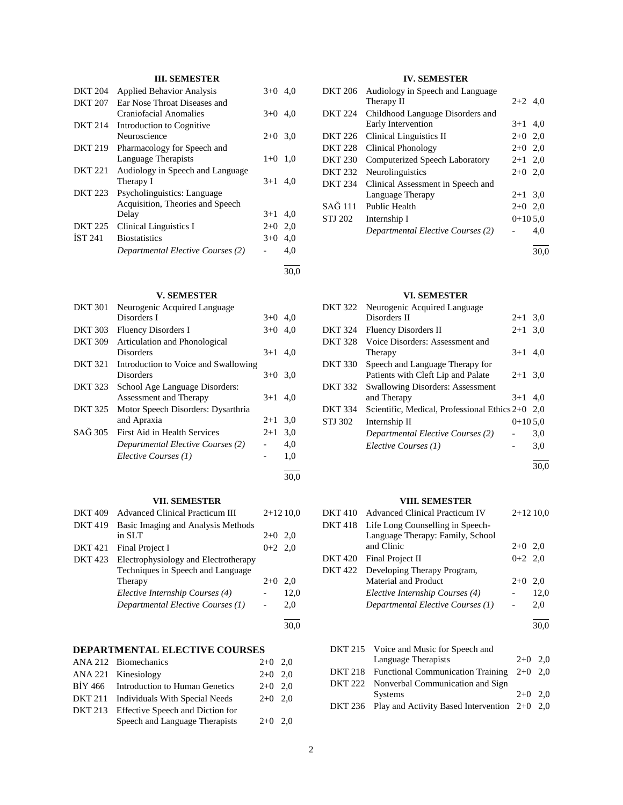# **III. SEMESTER**

| <b>DKT 204</b> | <b>Applied Behavior Analysis</b>  | $3+0$     | 4.0  |
|----------------|-----------------------------------|-----------|------|
| <b>DKT 207</b> | Ear Nose Throat Diseases and      |           |      |
|                | Craniofacial Anomalies            | $3+0$ 4,0 |      |
| <b>DKT 214</b> | Introduction to Cognitive         |           |      |
|                | Neuroscience                      | $2+0$ 3.0 |      |
| DKT 219        | Pharmacology for Speech and       |           |      |
|                | Language Therapists               | $1 + 0$   | 1,0  |
| <b>DKT 221</b> | Audiology in Speech and Language  |           |      |
|                | Therapy I                         | $3+1$     | 4.0  |
| <b>DKT 223</b> | Psycholinguistics: Language       |           |      |
|                | Acquisition, Theories and Speech  |           |      |
|                | Delay                             | $3+1$     | 4,0  |
| <b>DKT 225</b> | Clinical Linguistics I            | $2+0$     | 2,0  |
| <b>IST 241</b> | <b>Biostatistics</b>              | $3+0$     | 4.0  |
|                | Departmental Elective Courses (2) |           | 4.0  |
|                |                                   |           | 30.0 |

# **V. SEMESTER**

| <b>DKT 301</b> | Neurogenic Acquired Language         |           |     |
|----------------|--------------------------------------|-----------|-----|
|                | Disorders I                          | $3+0$     | 4.0 |
| <b>DKT 303</b> | <b>Fluency Disorders I</b>           | $3+0$ 4,0 |     |
| <b>DKT 309</b> | Articulation and Phonological        |           |     |
|                | Disorders                            | $3+1$     | 4.0 |
| <b>DKT 321</b> | Introduction to Voice and Swallowing |           |     |
|                | Disorders                            | $3+0$     | 3,0 |
| <b>DKT 323</b> | School Age Language Disorders:       |           |     |
|                | Assessment and Therapy               | $3+1$     | 4.0 |
| <b>DKT 325</b> | Motor Speech Disorders: Dysarthria   |           |     |
|                | and Apraxia                          | $2+1$     | 3,0 |
| SAĞ 305        | First Aid in Health Services         | $2 + 1$   | 3,0 |
|                | Departmental Elective Courses (2)    |           | 4,0 |
|                | Elective Courses (1)                 |           | 1,0 |
|                |                                      |           |     |

#### **VII. SEMESTER**

| <b>Advanced Clinical Practicum III</b>                                    |           | $2+1210,0$ |
|---------------------------------------------------------------------------|-----------|------------|
| Basic Imaging and Analysis Methods                                        |           |            |
| in SLT                                                                    | $2+0$ 2,0 |            |
| Final Project I                                                           | $0+2$ 2,0 |            |
| Electrophysiology and Electrotherapy<br>Techniques in Speech and Language |           |            |
| Therapy                                                                   | $2+0$     | 2.0        |
| Elective Internship Courses (4)                                           |           | 12,0       |
| Departmental Elective Courses (1)                                         |           | 2,0        |
|                                                                           |           |            |
|                                                                           |           |            |

### **DEPARTMENTAL ELECTIVE COURSES**

| ANA 212 Biomechanics                     | $2+0$ 2,0 |  |
|------------------------------------------|-----------|--|
| ANA 221 Kinesiology                      | $2+0$ 2.0 |  |
| BIY 466 Introduction to Human Genetics   | $2+0$ 2,0 |  |
| DKT 211 Individuals With Special Needs   | $2+0$ 2,0 |  |
| DKT 213 Effective Speech and Diction for |           |  |
| Speech and Language Therapists           | $2+0$ 2.0 |  |
|                                          |           |  |

# **IV. SEMESTER**

| <b>DKT 206</b> | Audiology in Speech and Language  |           |     |
|----------------|-----------------------------------|-----------|-----|
|                | Therapy II                        | $2+2$ 4.0 |     |
| <b>DKT 224</b> | Childhood Language Disorders and  |           |     |
|                | Early Intervention                | $3+1$ 4.0 |     |
| DKT 226        | Clinical Linguistics II           | $2+0$ 2,0 |     |
| <b>DKT 228</b> | Clinical Phonology                | $2+0$     | 2.0 |
| <b>DKT 230</b> | Computerized Speech Laboratory    | $2+1$ 2,0 |     |
| <b>DKT 232</b> | <b>Neurolinguistics</b>           | $2+0$ 2.0 |     |
| <b>DKT 234</b> | Clinical Assessment in Speech and |           |     |
|                | Language Therapy                  | $2 + 1$   | 3,0 |
| SAĞ 111        | <b>Public Health</b>              | $2+0$ 2.0 |     |
| STJ 202        | Internship I                      | $0+105.0$ |     |
|                | Departmental Elective Courses (2) |           | 4.0 |
|                |                                   |           |     |

30,0

# **VI. SEMESTER**

| <b>DKT 322</b> | Neurogenic Acquired Language                 |           |     |
|----------------|----------------------------------------------|-----------|-----|
|                | Disorders II                                 | $2+1$     | 3,0 |
| <b>DKT 324</b> | Fluency Disorders II                         | $2 + 1$   | 3,0 |
| <b>DKT 328</b> | Voice Disorders: Assessment and              |           |     |
|                | Therapy                                      | $3+1$     | 4,0 |
| <b>DKT 330</b> | Speech and Language Therapy for              |           |     |
|                | Patients with Cleft Lip and Palate           | $2+1$     | 3,0 |
| <b>DKT 332</b> | <b>Swallowing Disorders: Assessment</b>      |           |     |
|                | and Therapy                                  | $3+1$     | 4.0 |
| <b>DKT 334</b> | Scientific, Medical, Professional Ethics 2+0 |           | 2.0 |
| STJ 302        | Internship II                                | $0+105.0$ |     |
|                | Departmental Elective Courses (2)            |           | 3,0 |
|                | Elective Courses (1)                         |           | 3,0 |
|                |                                              |           |     |

30,0

### **VIII. SEMESTER**

| <b>DKT410</b>  | <b>Advanced Clinical Practicum IV</b> |           | $2+1210,0$ |
|----------------|---------------------------------------|-----------|------------|
| <b>DKT418</b>  | Life Long Counselling in Speech-      |           |            |
|                | Language Therapy: Family, School      |           |            |
|                | and Clinic                            | $2+0$ 2,0 |            |
| <b>DKT 420</b> | Final Project II                      | $0+2$ 2,0 |            |
| <b>DKT 422</b> | Developing Therapy Program,           |           |            |
|                | Material and Product                  | $2+0$     | 2.0        |
|                | Elective Internship Courses (4)       |           | 12,0       |
|                | Departmental Elective Courses (1)     |           | 2,0        |
|                |                                       |           | 30.0       |
|                |                                       |           |            |

| DKT 215 Voice and Music for Speech and                 |           |  |
|--------------------------------------------------------|-----------|--|
| Language Therapists                                    | $2+0$ 2.0 |  |
| DKT 218 Functional Communication Training $2+0$ 2,0    |           |  |
| DKT 222 Nonverbal Communication and Sign               |           |  |
| <b>Systems</b>                                         | $2+0$ 2.0 |  |
| DKT 236 Play and Activity Based Intervention $2+0$ 2,0 |           |  |

30,0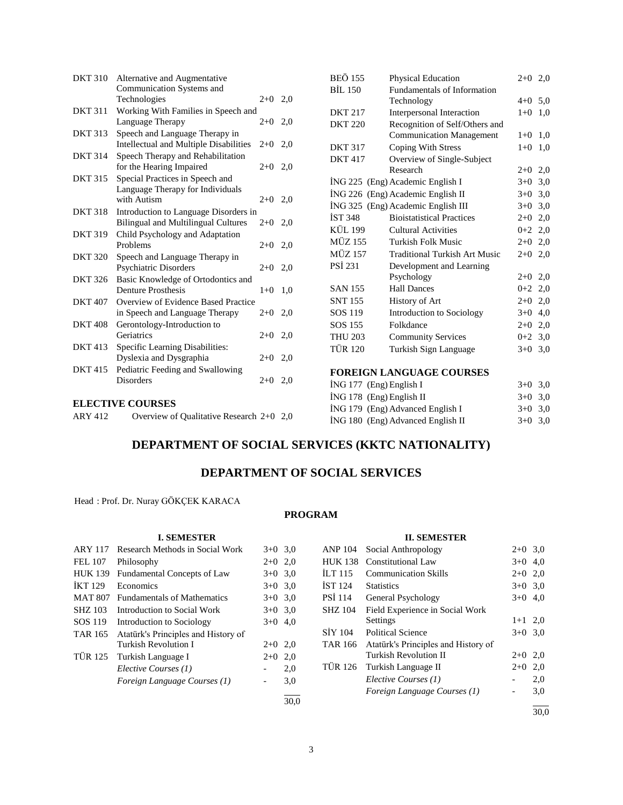| <b>DKT 310</b> | Alternative and Augmentative                  |           |     |
|----------------|-----------------------------------------------|-----------|-----|
|                | Communication Systems and                     |           |     |
|                | Technologies                                  | $2+0$ 2,0 |     |
| <b>DKT 311</b> | Working With Families in Speech and           |           |     |
|                | Language Therapy                              | $2+0$     | 2,0 |
| <b>DKT 313</b> | Speech and Language Therapy in                |           |     |
|                | <b>Intellectual and Multiple Disabilities</b> | $2+0$ 2,0 |     |
| <b>DKT 314</b> | Speech Therapy and Rehabilitation             |           |     |
|                | for the Hearing Impaired                      | $2+0$     | 2,0 |
| <b>DKT 315</b> | Special Practices in Speech and               |           |     |
|                | Language Therapy for Individuals              |           |     |
|                | with Autism                                   | $2+0$ 2,0 |     |
| <b>DKT 318</b> | Introduction to Language Disorders in         |           |     |
|                | <b>Bilingual and Multilingual Cultures</b>    | $2+0$     | 2,0 |
| <b>DKT 319</b> | Child Psychology and Adaptation               |           |     |
|                | Problems                                      | $2+0$ 2,0 |     |
| <b>DKT 320</b> | Speech and Language Therapy in                |           |     |
|                | <b>Psychiatric Disorders</b>                  | $2+0$     | 2,0 |
| <b>DKT 326</b> | Basic Knowledge of Ortodontics and            |           |     |
|                | <b>Denture Prosthesis</b>                     | $1+0$     | 1,0 |
| <b>DKT 407</b> | Overview of Evidence Based Practice           |           |     |
|                | in Speech and Language Therapy                | $2+0$     | 2,0 |
| <b>DKT 408</b> | Gerontology-Introduction to                   |           |     |
|                | Geriatrics                                    | $2+0$     | 2,0 |
| <b>DKT</b> 413 | Specific Learning Disabilities:               |           |     |
|                | Dyslexia and Dysgraphia                       | $2+0$ 2.0 |     |
| <b>DKT 415</b> | Pediatric Feeding and Swallowing              |           |     |
|                | <b>Disorders</b>                              | $2+0$     | 2,0 |
|                |                                               |           |     |
|                | <b>ELECTIVE COURSES</b>                       |           |     |
| <b>ARY 412</b> | Overview of Qualitative Research $2+0$ 2,0    |           |     |

| <b>BEÖ 155</b>           | Physical Education                   | $2+0$ 2,0 |     |
|--------------------------|--------------------------------------|-----------|-----|
| <b>BİL 150</b>           | Fundamentals of Information          |           |     |
|                          | Technology                           | $4 + 0$   | 5,0 |
| <b>DKT 217</b>           | Interpersonal Interaction            | $1+0$     | 1,0 |
| <b>DKT 220</b>           | Recognition of Self/Others and       |           |     |
|                          | <b>Communication Management</b>      | $1+0$     | 1,0 |
| <b>DKT 317</b>           | Coping With Stress                   | $1+0$     | 1,0 |
| <b>DKT417</b>            | Overview of Single-Subject           |           |     |
|                          | Research                             | $2+0$     | 2,0 |
|                          | ING 225 (Eng) Academic English I     | $3+0$     | 3,0 |
|                          | ING 226 (Eng) Academic English II    | $3+0$ 3,0 |     |
|                          | ING 325 (Eng) Academic English III   | $3+0$ 3,0 |     |
| <b>IST 348</b>           | <b>Bioistatistical Practices</b>     | $2+0$     | 2,0 |
| <b>KÜL 199</b>           | <b>Cultural Activities</b>           | $0+2$ 2,0 |     |
| <b>MÜZ 155</b>           | <b>Turkish Folk Music</b>            | $2+0$     | 2,0 |
| <b>MÜZ 157</b>           | <b>Traditional Turkish Art Music</b> | $2+0$     | 2,0 |
| <b>PSI 231</b>           | Development and Learning             |           |     |
|                          | Psychology                           | $2+0$ 2,0 |     |
| <b>SAN 155</b>           | <b>Hall Dances</b>                   | $0+2$     | 2,0 |
| <b>SNT 155</b>           | History of Art                       | $2+0$     | 2,0 |
| SOS 119                  | Introduction to Sociology            | $3+0$     | 4,0 |
| SOS 155                  | Folkdance                            | $2+0$     | 2,0 |
| <b>THU 203</b>           | <b>Community Services</b>            | $0 + 2$   | 3,0 |
| <b>TÜR 120</b>           | Turkish Sign Language                | $3+0$     | 3,0 |
|                          |                                      |           |     |
|                          | <b>FOREIGN LANGUAGE COURSES</b>      |           |     |
| İNG 177 (Eng) English I  |                                      | $3+0$     | 3,0 |
| İNG 178 (Eng) English II |                                      | $3+0$     | 3,0 |
|                          | ING 179 (Eng) Advanced English I     | $3 + 0$   | 3,0 |

 $i$ NG 180 (Eng) Advanced English II  $3+0$  3,0

# **DEPARTMENT OF SOCIAL SERVICES (KKTC NATIONALITY)**

# **DEPARTMENT OF SOCIAL SERVICES**

Head : Prof. Dr. Nuray GÖKÇEK KARACA

# **PROGRAM**

| <b>I. SEMESTER</b> |                                     |                          |      |                    | <b>II. SEMESTER</b>                 |                          |     |
|--------------------|-------------------------------------|--------------------------|------|--------------------|-------------------------------------|--------------------------|-----|
| <b>ARY 117</b>     | Research Methods in Social Work     | $3+0$ 3.0                |      | <b>ANP 104</b>     | Social Anthropology                 | $2+0$ 3,0                |     |
| <b>FEL 107</b>     | Philosophy                          | $2+0$ 2.0                |      | <b>HUK 138</b>     | <b>Constitutional Law</b>           | $3+0$ 4,0                |     |
| <b>HUK 139</b>     | Fundamental Concepts of Law         | $3+0$ 3.0                |      | ILT115             | <b>Communication Skills</b>         | $2+0$ 2,0                |     |
| <b>IKT 129</b>     | Economics                           | $3+0$ 3.0                |      | IST <sub>124</sub> | <b>Statistics</b>                   | $3+0$ 3.0                |     |
| <b>MAT 807</b>     | <b>Fundamentals of Mathematics</b>  | $3+0$ 3.0                |      | <b>PSI</b> 114     | General Psychology                  | $3+0$ 4,0                |     |
| <b>SHZ 103</b>     | Introduction to Social Work         | $3+0$ 3.0                |      | <b>SHZ 104</b>     | Field Experience in Social Work     |                          |     |
| SOS 119            | Introduction to Sociology           | $3+0$ 4,0                |      |                    | Settings                            | $1+1$ 2,0                |     |
| <b>TAR 165</b>     | Atatürk's Principles and History of |                          |      | SIY 104            | <b>Political Science</b>            | $3+0$ 3.0                |     |
|                    | <b>Turkish Revolution I</b>         | $2+0$ 2,0                |      | <b>TAR 166</b>     | Atatürk's Principles and History of |                          |     |
| <b>TÜR 125</b>     | Turkish Language I                  | $2+0$ 2,0                |      |                    | <b>Turkish Revolution II</b>        | $2+0$ 2,0                |     |
|                    | Elective Courses (1)                | $\overline{\phantom{a}}$ | 2,0  | <b>TÜR 126</b>     | Turkish Language II                 | $2+0$ 2,0                |     |
|                    | Foreign Language Courses (1)        | $\overline{\phantom{a}}$ | 3,0  |                    | Elective Courses (1)                |                          | 2,0 |
|                    |                                     |                          |      |                    | Foreign Language Courses (1)        | $\overline{\phantom{a}}$ | 3,0 |
|                    |                                     |                          | 30.0 |                    |                                     |                          |     |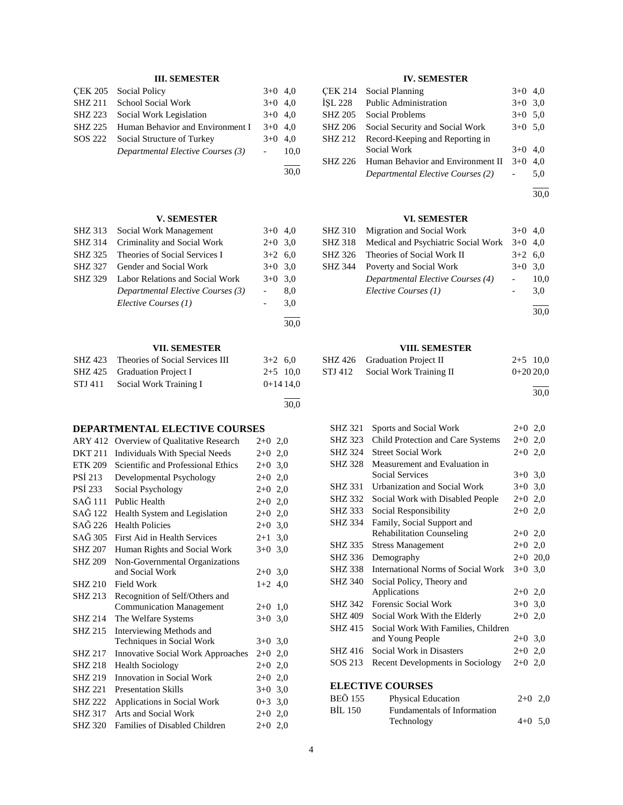# **III. SEMESTER**

|         | CEK 205 Social Policy                    | $3+0$ 4.0              |      |
|---------|------------------------------------------|------------------------|------|
|         | SHZ 211 School Social Work               | $3+0$ 4,0              |      |
| SHZ 223 | Social Work Legislation                  | $3+0$ 4.0              |      |
|         | SHZ 225 Human Behavior and Environment I | $3+0$ 4.0              |      |
| SOS 222 | Social Structure of Turkey               | $3+0$ 4.0              |      |
|         | Departmental Elective Courses (3)        | $\Delta \sim 10^{-11}$ | 10.0 |
|         |                                          |                        |      |

30,0

30,0

30,0

# **V. SEMESTER**

| SHZ 313        | Social Work Management            | $3+0$ 4.0 |     |
|----------------|-----------------------------------|-----------|-----|
| <b>SHZ 314</b> | Criminality and Social Work       | $2+0$ 3.0 |     |
| SHZ 325        | Theories of Social Services I     | $3+2$ 6.0 |     |
| SHZ 327        | Gender and Social Work            | $3+0$ 3.0 |     |
| SHZ 329        | Labor Relations and Social Work   | $3+0$ 3.0 |     |
|                | Departmental Elective Courses (3) |           | 8,0 |
|                | Elective Courses (1)              | $-$       | 3,0 |
|                |                                   |           |     |

# **VII. SEMESTER**

|         | SHZ 423 Theories of Social Services III | $3+2$ 6.0  |
|---------|-----------------------------------------|------------|
|         | SHZ 425 Graduation Project I            | $2+5$ 10,0 |
| STJ 411 | Social Work Training I                  | $0+1414.0$ |
|         |                                         |            |

# **DEPARTMENTAL ELECTIVE COURSES**

| <b>ARY 412</b> | Overview of Qualitative Research         | $2+0$ 2,0      |
|----------------|------------------------------------------|----------------|
| <b>DKT 211</b> | <b>Individuals With Special Needs</b>    | $2+0$ 2,0      |
| <b>ETK 209</b> | Scientific and Professional Ethics       | $2+0$ 3,0      |
| <b>PSI 213</b> | Developmental Psychology                 | $2+0$ 2,0      |
| <b>PSI 233</b> | Social Psychology                        | $2+0$ 2,0      |
| SAĞ 111        | Public Health                            | $2+0$ 2.0      |
| SAĞ 122        | Health System and Legislation            | $2+0$ 2,0      |
| SAĞ 226        | <b>Health Policies</b>                   | $2+0$ 3,0      |
| SAĞ 305        | First Aid in Health Services             | $2 + 1$<br>3,0 |
| <b>SHZ 207</b> | Human Rights and Social Work             | $3+0$ 3.0      |
| <b>SHZ 209</b> | Non-Governmental Organizations           |                |
|                | and Social Work                          | $2+0$ 3.0      |
| <b>SHZ 210</b> | Field Work                               | $1+2$ 4,0      |
| <b>SHZ 213</b> | Recognition of Self/Others and           |                |
|                | <b>Communication Management</b>          | $2+0$<br>1,0   |
| SHZ 214        | The Welfare Systems                      | $3+0$<br>3,0   |
| SHZ 215        | Interviewing Methods and                 |                |
|                | Techniques in Social Work                | $3+0$ 3.0      |
| SHZ 217        | <b>Innovative Social Work Approaches</b> | $2+0$ 2,0      |
| <b>SHZ 218</b> | <b>Health Sociology</b>                  | $2+0$ 2,0      |
| SHZ 219        | Innovation in Social Work                | $2+0$ 2,0      |
| <b>SHZ 221</b> | <b>Presentation Skills</b>               | $3+0$ 3,0      |
| <b>SHZ 222</b> | Applications in Social Work              | $0+3$ 3,0      |
| <b>SHZ 317</b> | Arts and Social Work                     | $2+0$ 2,0      |
| <b>SHZ 320</b> | Families of Disabled Children            | $2+0, 2, 0$    |

# **IV. SEMESTER**

| <b>CEK 214</b> | <b>Social Planning</b>            | $3+0$ 4,0 |     |
|----------------|-----------------------------------|-----------|-----|
| <b>İSL 228</b> | <b>Public Administration</b>      | $3+0$ 3.0 |     |
| <b>SHZ 205</b> | Social Problems                   | $3+0$ 5.0 |     |
| <b>SHZ 206</b> | Social Security and Social Work   | $3+0$ 5.0 |     |
| <b>SHZ 212</b> | Record-Keeping and Reporting in   |           |     |
|                | Social Work                       | $3+0$ 4.0 |     |
| SHZ 226        | Human Behavior and Environment II | $3+0$     | 4.0 |
|                | Departmental Elective Courses (2) |           | 5,0 |
|                |                                   |           |     |

30,0

# **VI. SEMESTER**

| SHZ 310 Migration and Social Work                   | $3+0$ 4.0 |      |
|-----------------------------------------------------|-----------|------|
| SHZ 318 Medical and Psychiatric Social Work 3+0 4,0 |           |      |
| SHZ 326 Theories of Social Work II                  | $3+2$ 6,0 |      |
| SHZ 344 Poverty and Social Work                     | $3+0$ 3.0 |      |
| Departmental Elective Courses (4)                   |           | 10,0 |
| Elective Courses (1)                                |           | 3.0  |
|                                                     |           |      |

30,0

# **VIII. SEMESTER**

|         | SHZ 426 Graduation Project II | $2+5$ 10.0 |
|---------|-------------------------------|------------|
| STJ 412 | Social Work Training II       | $0+2020.0$ |
|         |                               |            |

30,0

| <b>SHZ 321</b>          | Sports and Social Work                    | $2+0$ 2,0 |            |  |  |
|-------------------------|-------------------------------------------|-----------|------------|--|--|
| SHZ 323                 | Child Protection and Care Systems         | $2+0$ 2,0 |            |  |  |
| SHZ 324                 | <b>Street Social Work</b>                 | $2+0$ 2,0 |            |  |  |
| <b>SHZ 328</b>          | Measurement and Evaluation in             |           |            |  |  |
|                         | <b>Social Services</b>                    | $3+0$ 3.0 |            |  |  |
| SHZ 331                 | Urbanization and Social Work              | $3+0$ 3,0 |            |  |  |
| SHZ 332                 | Social Work with Disabled People          | $2+0$ 2,0 |            |  |  |
| SHZ 333                 | Social Responsibility                     | $2+0$ 2,0 |            |  |  |
| <b>SHZ 334</b>          | Family, Social Support and                |           |            |  |  |
|                         | <b>Rehabilitation Counseling</b>          | $2+0$ 2,0 |            |  |  |
| SHZ 335                 | <b>Stress Management</b>                  | $2+0$ 2,0 |            |  |  |
| SHZ 336                 | Demography                                |           | $2+0$ 20,0 |  |  |
| <b>SHZ 338</b>          | <b>International Norms of Social Work</b> | $3+0$ 3,0 |            |  |  |
| <b>SHZ 340</b>          | Social Policy, Theory and                 |           |            |  |  |
|                         | Applications                              | $2+0$ 2,0 |            |  |  |
| SHZ 342                 | Forensic Social Work                      | $3+0$ 3,0 |            |  |  |
| <b>SHZ 409</b>          | Social Work With the Elderly              | $2+0$ 2,0 |            |  |  |
| <b>SHZ 415</b>          | Social Work With Families, Children       |           |            |  |  |
|                         | and Young People                          | $2+0$ 3,0 |            |  |  |
| SHZ 416                 | Social Work in Disasters                  | $2+0$ 2,0 |            |  |  |
| SOS 213                 | Recent Developments in Sociology          | $2+0$ 2,0 |            |  |  |
|                         |                                           |           |            |  |  |
| <b>ELECTIVE COURSES</b> |                                           |           |            |  |  |
|                         |                                           |           |            |  |  |

| BEÖ 155 | <b>Physical Education</b>   | $2+0$ 2.0 |  |
|---------|-----------------------------|-----------|--|
| BİL 150 | Fundamentals of Information |           |  |
|         | Technology                  | $4+0$ 5.0 |  |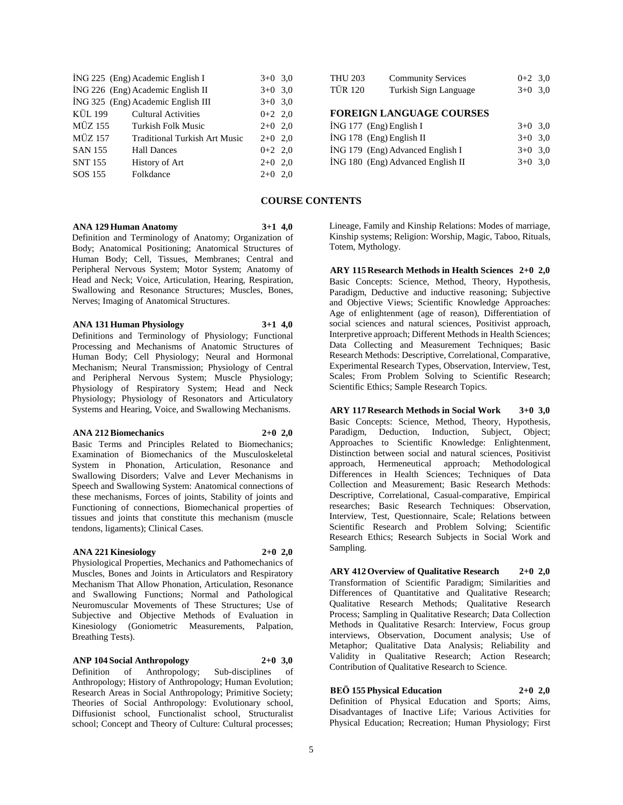|                | ING 225 (Eng) Academic English I     | $3+0$ 3.0 |  |
|----------------|--------------------------------------|-----------|--|
|                | ING 226 (Eng) Academic English II    | $3+0$ 3.0 |  |
|                | İNG 325 (Eng) Academic English III   | $3+0$ 3,0 |  |
| KÜL 199        | <b>Cultural Activities</b>           | $0+2$ 2,0 |  |
| MÜZ 155        | Turkish Folk Music                   | $2+0$ 2,0 |  |
| <b>MÜZ 157</b> | <b>Traditional Turkish Art Music</b> | $2+0$ 2.0 |  |
| <b>SAN 155</b> | <b>Hall Dances</b>                   | $0+2$ 2,0 |  |
| <b>SNT 155</b> | History of Art                       | $2+0$ 2,0 |  |
| SOS 155        | Folkdance                            | $2+0$ 2,0 |  |
|                |                                      |           |  |

| <b>THU 203</b>                  | <b>Community Services</b> | $0+2$ 3.0 |  |  |  |  |
|---------------------------------|---------------------------|-----------|--|--|--|--|
| <b>TÜR 120</b>                  | Turkish Sign Language     | $3+0$ 3.0 |  |  |  |  |
|                                 |                           |           |  |  |  |  |
| <b>FOREIGN LANGUAGE COURSES</b> |                           |           |  |  |  |  |
| ING 177 (Eng) English I         | $3+0$ 3.0                 |           |  |  |  |  |

| ING 178 (Eng) English II          | $3+0$ 3.0 |  |
|-----------------------------------|-----------|--|
| ING 179 (Eng) Advanced English I  | $3+0$ 3.0 |  |
| ING 180 (Eng) Advanced English II | $3+0$ 3.0 |  |

# **COURSE CONTENTS**

#### **ANA 129 Human Anatomy 3+1 4,0**

Definition and Terminology of Anatomy; Organization of Body; Anatomical Positioning; Anatomical Structures of Human Body; Cell, Tissues, Membranes; Central and Peripheral Nervous System; Motor System; Anatomy of Head and Neck; Voice, Articulation, Hearing, Respiration, Swallowing and Resonance Structures; Muscles, Bones, Nerves; Imaging of Anatomical Structures.

# **ANA 131 Human Physiology 3+1 4,0**

Definitions and Terminology of Physiology; Functional Processing and Mechanisms of Anatomic Structures of Human Body; Cell Physiology; Neural and Hormonal Mechanism; Neural Transmission; Physiology of Central and Peripheral Nervous System; Muscle Physiology; Physiology of Respiratory System; Head and Neck Physiology; Physiology of Resonators and Articulatory Systems and Hearing, Voice, and Swallowing Mechanisms.

#### **ANA 212 Biomechanics 2+0 2,0**

Basic Terms and Principles Related to Biomechanics; Examination of Biomechanics of the Musculoskeletal System in Phonation, Articulation, Resonance and Swallowing Disorders; Valve and Lever Mechanisms in Speech and Swallowing System: Anatomical connections of these mechanisms, Forces of joints, Stability of joints and Functioning of connections, Biomechanical properties of tissues and joints that constitute this mechanism (muscle tendons, ligaments); Clinical Cases.

### **ANA 221 Kinesiology 2+0 2,0**

Physiological Properties, Mechanics and Pathomechanics of Muscles, Bones and Joints in Articulators and Respiratory Mechanism That Allow Phonation, Articulation, Resonance and Swallowing Functions; Normal and Pathological Neuromuscular Movements of These Structures; Use of Subjective and Objective Methods of Evaluation in Kinesiology (Goniometric Measurements, Palpation, Breathing Tests).

# **ANP 104 Social Anthropology 2+0 3,0**

Definition of Anthropology; Sub-disciplines of Anthropology; History of Anthropology; Human Evolution; Research Areas in Social Anthropology; Primitive Society; Theories of Social Anthropology: Evolutionary school, Diffusionist school, Functionalist school, Structuralist school; Concept and Theory of Culture: Cultural processes;

Lineage, Family and Kinship Relations: Modes of marriage, Kinship systems; Religion: Worship, Magic, Taboo, Rituals, Totem, Mythology.

**ARY 115 Research Methods in Health Sciences 2+0 2,0** Basic Concepts: Science, Method, Theory, Hypothesis, Paradigm, Deductive and inductive reasoning; Subjective and Objective Views; Scientific Knowledge Approaches: Age of enlightenment (age of reason), Differentiation of social sciences and natural sciences, Positivist approach, Interpretive approach; Different Methods in Health Sciences; Data Collecting and Measurement Techniques; Basic Research Methods: Descriptive, Correlational, Comparative, Experimental Research Types, Observation, Interview, Test, Scales; From Problem Solving to Scientific Research; Scientific Ethics; Sample Research Topics.

**ARY 117 Research Methods in Social Work 3+0 3,0** Basic Concepts: Science, Method, Theory, Hypothesis, Paradigm, Deduction, Induction, Subject, Object; Approaches to Scientific Knowledge: Enlightenment, Distinction between social and natural sciences, Positivist approach, Hermeneutical approach; Methodological Differences in Health Sciences; Techniques of Data Collection and Measurement; Basic Research Methods: Descriptive, Correlational, Casual-comparative, Empirical researches; Basic Research Techniques: Observation, Interview, Test, Questionnaire, Scale; Relations between Scientific Research and Problem Solving; Scientific Research Ethics; Research Subjects in Social Work and Sampling.

**ARY 412 Overview of Qualitative Research 2+0 2,0** Transformation of Scientific Paradigm; Similarities and Differences of Quantitative and Qualitative Research; Qualitative Research Methods; Qualitative Research Process; Sampling in Qualitative Research; Data Collection Methods in Qualitative Resarch: Interview, Focus group interviews, Observation, Document analysis; Use of Metaphor; Qualitative Data Analysis; Reliability and Validity in Qualitative Research; Action Research; Contribution of Qualitative Research to Science.

# **BEÖ 155 Physical Education 2+0 2,0**

Definition of Physical Education and Sports; Aims, Disadvantages of Inactive Life; Various Activities for Physical Education; Recreation; Human Physiology; First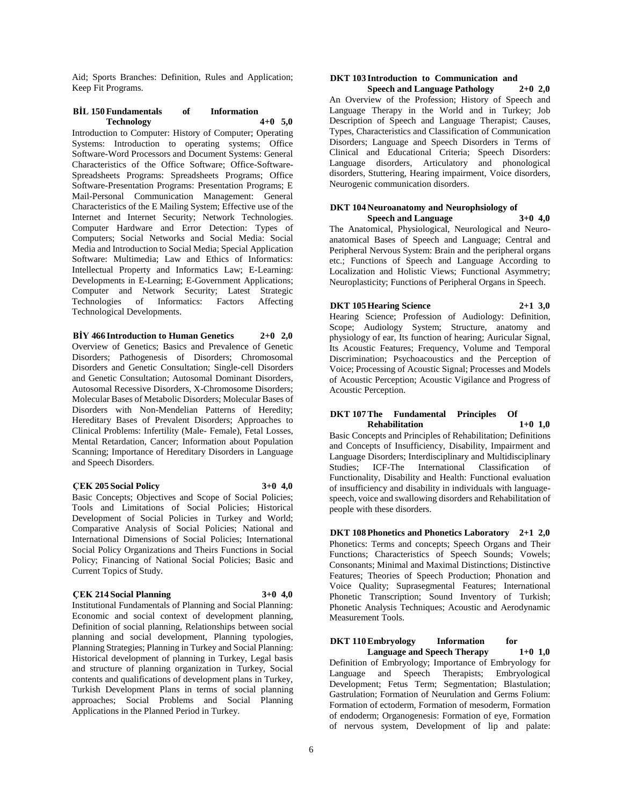Aid; Sports Branches: Definition, Rules and Application; Keep Fit Programs.

# **BİL 150 Fundamentals of Information Technology 4+0 5,0**

Introduction to Computer: History of Computer; Operating Systems: Introduction to operating systems; Office Software-Word Processors and Document Systems: General Characteristics of the Office Software; Office-Software-Spreadsheets Programs: Spreadsheets Programs; Office Software-Presentation Programs: Presentation Programs; E Mail-Personal Communication Management: General Characteristics of the E Mailing System; Effective use of the Internet and Internet Security; Network Technologies. Computer Hardware and Error Detection: Types of Computers; Social Networks and Social Media: Social Media and Introduction to Social Media; Special Application Software: Multimedia; Law and Ethics of Informatics: Intellectual Property and Informatics Law; E-Learning: Developments in E-Learning; E-Government Applications; Computer and Network Security; Latest Strategic of Informatics: Factors Technological Developments.

**BİY 466 Introduction to Human Genetics 2+0 2,0** Overview of Genetics; Basics and Prevalence of Genetic Disorders; Pathogenesis of Disorders; Chromosomal Disorders and Genetic Consultation; Single-cell Disorders and Genetic Consultation; Autosomal Dominant Disorders, Autosomal Recessive Disorders, X-Chromosome Disorders; Molecular Bases of Metabolic Disorders; Molecular Bases of Disorders with Non-Mendelian Patterns of Heredity; Hereditary Bases of Prevalent Disorders; Approaches to Clinical Problems: Infertility (Male- Female), Fetal Losses, Mental Retardation, Cancer; Information about Population Scanning; Importance of Hereditary Disorders in Language and Speech Disorders.

# **ÇEK 205 Social Policy 3+0 4,0**

Basic Concepts; Objectives and Scope of Social Policies; Tools and Limitations of Social Policies; Historical Development of Social Policies in Turkey and World; Comparative Analysis of Social Policies; National and International Dimensions of Social Policies; International Social Policy Organizations and Theirs Functions in Social Policy; Financing of National Social Policies; Basic and Current Topics of Study.

#### **ÇEK 214 Social Planning 3+0 4,0**

Institutional Fundamentals of Planning and Social Planning: Economic and social context of development planning, Definition of social planning, Relationships between social planning and social development, Planning typologies, Planning Strategies; Planning in Turkey and Social Planning: Historical development of planning in Turkey, Legal basis and structure of planning organization in Turkey, Social contents and qualifications of development plans in Turkey, Turkish Development Plans in terms of social planning approaches; Social Problems and Social Planning Applications in the Planned Period in Turkey.

#### **DKT 103 Introduction to Communication and Speech and Language Pathology 2+0 2,0**

An Overview of the Profession; History of Speech and Language Therapy in the World and in Turkey; Job Description of Speech and Language Therapist; Causes, Types, Characteristics and Classification of Communication Disorders; Language and Speech Disorders in Terms of Clinical and Educational Criteria; Speech Disorders: Language disorders, Articulatory and phonological disorders, Stuttering, Hearing impairment, Voice disorders, Neurogenic communication disorders.

# **DKT 104 Neuroanatomy and Neurophsiology of Speech and Language**

The Anatomical, Physiological, Neurological and Neuroanatomical Bases of Speech and Language; Central and Peripheral Nervous System: Brain and the peripheral organs etc.; Functions of Speech and Language According to Localization and Holistic Views; Functional Asymmetry; Neuroplasticity; Functions of Peripheral Organs in Speech.

# **DKT 105 Hearing Science 2+1 3,0**

Hearing Science; Profession of Audiology: Definition, Scope; Audiology System; Structure, anatomy and physiology of ear, Its function of hearing; Auricular Signal, Its Acoustic Features; Frequency, Volume and Temporal Discrimination; Psychoacoustics and the Perception of Voice; Processing of Acoustic Signal; Processes and Models of Acoustic Perception; Acoustic Vigilance and Progress of Acoustic Perception.

# **DKT 107 The Fundamental Principles Of Rehabilitation 1+0 1,0**

Basic Concepts and Principles of Rehabilitation; Definitions and Concepts of Insufficiency, Disability, Impairment and Language Disorders; Interdisciplinary and Multidisciplinary Studies; ICF-The International Classification of Functionality, Disability and Health: Functional evaluation of insufficiency and disability in individuals with languagespeech, voice and swallowing disorders and Rehabilitation of people with these disorders.

**DKT 108 Phonetics and Phonetics Laboratory 2+1 2,0** Phonetics: Terms and concepts; Speech Organs and Their Functions; Characteristics of Speech Sounds; Vowels; Consonants; Minimal and Maximal Distinctions; Distinctive Features; Theories of Speech Production; Phonation and Voice Quality; Suprasegmental Features; International Phonetic Transcription; Sound Inventory of Turkish; Phonetic Analysis Techniques; Acoustic and Aerodynamic Measurement Tools.

**DKT 110 Embryology Information for Language and Speech Therapy 1+0 1,0** Definition of Embryology; Importance of Embryology for Language and Speech Therapists; Embryological Development; Fetus Term; Segmentation; Blastulation; Gastrulation; Formation of Neurulation and Germs Folium: Formation of ectoderm, Formation of mesoderm, Formation of endoderm; Organogenesis: Formation of eye, Formation of nervous system, Development of lip and palate: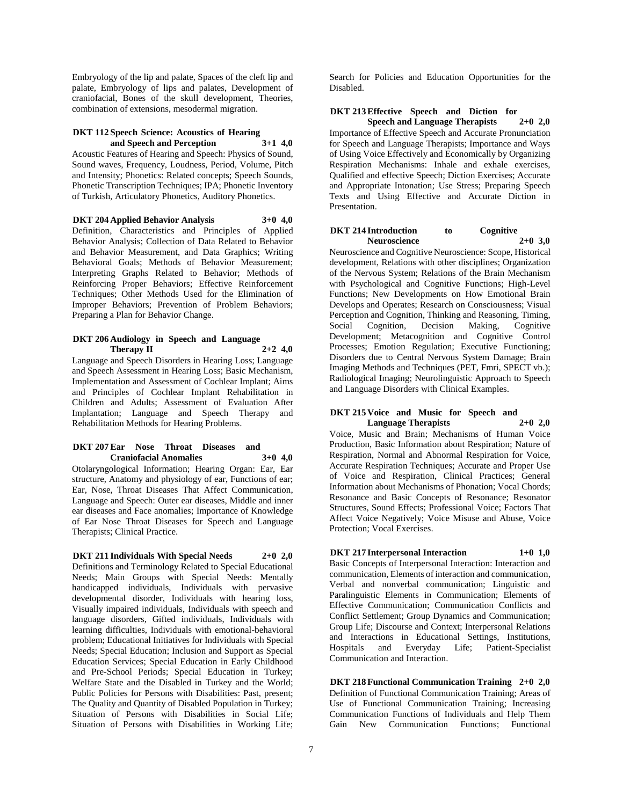Embryology of the lip and palate, Spaces of the cleft lip and palate, Embryology of lips and palates, Development of craniofacial, Bones of the skull development, Theories, combination of extensions, mesodermal migration.

#### **DKT 112 Speech Science: Acoustics of Hearing and Speech and Perception 3+1 4,0**

Acoustic Features of Hearing and Speech: Physics of Sound, Sound waves, Frequency, Loudness, Period, Volume, Pitch and Intensity; Phonetics: Related concepts; Speech Sounds, Phonetic Transcription Techniques; IPA; Phonetic Inventory of Turkish, Articulatory Phonetics, Auditory Phonetics.

**DKT 204 Applied Behavior Analysis 3+0 4,0** Definition, Characteristics and Principles of Applied Behavior Analysis; Collection of Data Related to Behavior and Behavior Measurement, and Data Graphics; Writing Behavioral Goals; Methods of Behavior Measurement; Interpreting Graphs Related to Behavior; Methods of Reinforcing Proper Behaviors; Effective Reinforcement Techniques; Other Methods Used for the Elimination of Improper Behaviors; Prevention of Problem Behaviors; Preparing a Plan for Behavior Change.

#### **DKT 206 Audiology in Speech and Language Therapy II 2+2 4,0**

Language and Speech Disorders in Hearing Loss; Language and Speech Assessment in Hearing Loss; Basic Mechanism, Implementation and Assessment of Cochlear Implant; Aims and Principles of Cochlear Implant Rehabilitation in Children and Adults; Assessment of Evaluation After Implantation; Language and Speech Therapy and Rehabilitation Methods for Hearing Problems.

#### **DKT 207 Ear Nose Throat Diseases and Craniofacial Anomalies 3+0 4,0**

Otolaryngological Information; Hearing Organ: Ear, Ear structure, Anatomy and physiology of ear, Functions of ear; Ear, Nose, Throat Diseases That Affect Communication, Language and Speech: Outer ear diseases, Middle and inner ear diseases and Face anomalies; Importance of Knowledge of Ear Nose Throat Diseases for Speech and Language Therapists; Clinical Practice.

**DKT 211 Individuals With Special Needs 2+0 2,0** Definitions and Terminology Related to Special Educational Needs; Main Groups with Special Needs: Mentally handicapped individuals, Individuals with pervasive developmental disorder, Individuals with hearing loss, Visually impaired individuals, Individuals with speech and language disorders, Gifted individuals, Individuals with learning difficulties, Individuals with emotional-behavioral problem; Educational Initiatives for Individuals with Special Needs; Special Education; Inclusion and Support as Special Education Services; Special Education in Early Childhood and Pre-School Periods; Special Education in Turkey; Welfare State and the Disabled in Turkey and the World; Public Policies for Persons with Disabilities: Past, present; The Quality and Quantity of Disabled Population in Turkey; Situation of Persons with Disabilities in Social Life; Situation of Persons with Disabilities in Working Life;

Search for Policies and Education Opportunities for the Disabled.

# **DKT 213 Effective Speech and Diction for Speech and Language Therapists 2+0 2,0**

Importance of Effective Speech and Accurate Pronunciation for Speech and Language Therapists; Importance and Ways of Using Voice Effectively and Economically by Organizing Respiration Mechanisms: Inhale and exhale exercises, Qualified and effective Speech; Diction Exercises; Accurate and Appropriate Intonation; Use Stress; Preparing Speech Texts and Using Effective and Accurate Diction in Presentation.

#### **DKT 214 Introduction to Cognitive Neuroscience 2+0 3,0**

Neuroscience and Cognitive Neuroscience: Scope, Historical development, Relations with other disciplines; Organization of the Nervous System; Relations of the Brain Mechanism with Psychological and Cognitive Functions; High-Level Functions; New Developments on How Emotional Brain Develops and Operates; Research on Consciousness; Visual Perception and Cognition, Thinking and Reasoning, Timing, Social Cognition, Decision Making, Cognitive Development; Metacognition and Cognitive Control Processes; Emotion Regulation; Executive Functioning; Disorders due to Central Nervous System Damage; Brain Imaging Methods and Techniques (PET, Fmri, SPECT vb.); Radiological Imaging; Neurolinguistic Approach to Speech and Language Disorders with Clinical Examples.

### **DKT 215 Voice and Music for Speech and Language Therapists 2+0 2,0**

Voice, Music and Brain; Mechanisms of Human Voice Production, Basic Information about Respiration; Nature of Respiration, Normal and Abnormal Respiration for Voice, Accurate Respiration Techniques; Accurate and Proper Use of Voice and Respiration, Clinical Practices; General Information about Mechanisms of Phonation; Vocal Chords; Resonance and Basic Concepts of Resonance; Resonator Structures, Sound Effects; Professional Voice; Factors That Affect Voice Negatively; Voice Misuse and Abuse, Voice Protection; Vocal Exercises.

# **DKT 217 Interpersonal Interaction 1+0 1,0**

Basic Concepts of Interpersonal Interaction: Interaction and communication, Elements of interaction and communication, Verbal and nonverbal communication; Linguistic and Paralinguistic Elements in Communication; Elements of Effective Communication; Communication Conflicts and Conflict Settlement; Group Dynamics and Communication; Group Life; Discourse and Context; Interpersonal Relations and Interactions in Educational Settings, Institutions, Hospitals and Everyday Life; Patient-Specialist Communication and Interaction.

**DKT 218 Functional Communication Training 2+0 2,0** Definition of Functional Communication Training; Areas of Use of Functional Communication Training; Increasing Communication Functions of Individuals and Help Them Gain New Communication Functions; Functional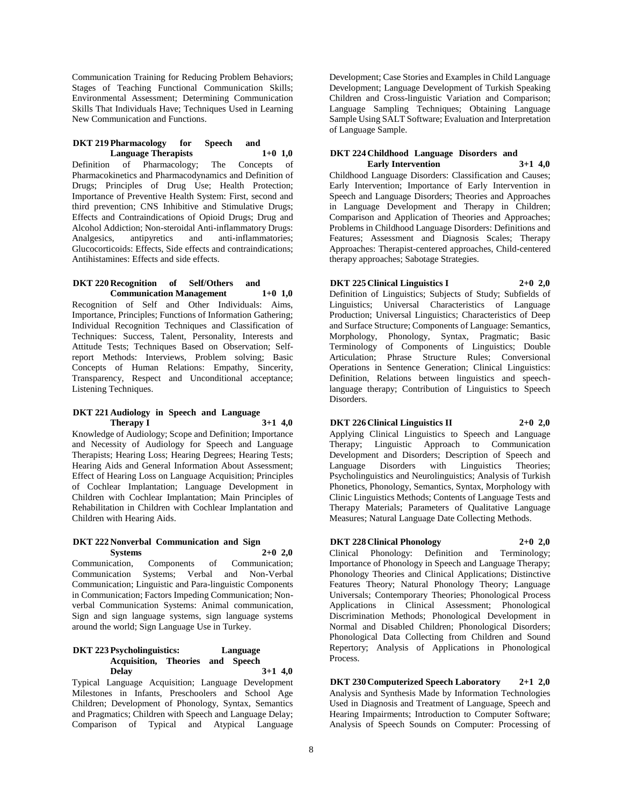Communication Training for Reducing Problem Behaviors; Stages of Teaching Functional Communication Skills; Environmental Assessment; Determining Communication Skills That Individuals Have; Techniques Used in Learning New Communication and Functions.

#### **DKT 219 Pharmacology for Speech and Language Therapists 1+0 1,0**

Definition of Pharmacology; The Concepts of Pharmacokinetics and Pharmacodynamics and Definition of Drugs; Principles of Drug Use; Health Protection; Importance of Preventive Health System: First, second and third prevention; CNS Inhibitive and Stimulative Drugs; Effects and Contraindications of Opioid Drugs; Drug and Alcohol Addiction; Non-steroidal Anti-inflammatory Drugs: Analgesics, antipyretics and anti-inflammatories; Glucocorticoids: Effects, Side effects and contraindications; Antihistamines: Effects and side effects.

#### **DKT 220 Recognition of Self/Others and Communication Management 1+0 1,0**

Recognition of Self and Other Individuals: Aims, Importance, Principles; Functions of Information Gathering; Individual Recognition Techniques and Classification of Techniques: Success, Talent, Personality, Interests and Attitude Tests; Techniques Based on Observation; Selfreport Methods: Interviews, Problem solving; Basic Concepts of Human Relations: Empathy, Sincerity, Transparency, Respect and Unconditional acceptance; Listening Techniques.

#### **DKT 221 Audiology in Speech and Language Therapy I 3+1 4,0**

Knowledge of Audiology; Scope and Definition; Importance and Necessity of Audiology for Speech and Language Therapists; Hearing Loss; Hearing Degrees; Hearing Tests; Hearing Aids and General Information About Assessment; Effect of Hearing Loss on Language Acquisition; Principles of Cochlear Implantation; Language Development in Children with Cochlear Implantation; Main Principles of Rehabilitation in Children with Cochlear Implantation and Children with Hearing Aids.

#### **DKT 222 Nonverbal Communication and Sign Systems 2+0 2,0**

Communication, Components of Communication; Communication Systems; Verbal and Non-Verbal Communication; Linguistic and Para-linguistic Components in Communication; Factors Impeding Communication; Nonverbal Communication Systems: Animal communication, Sign and sign language systems, sign language systems around the world; Sign Language Use in Turkey.

#### **DKT 223 Psycholinguistics: Language Acquisition, Theories and Speech Delay 3+1 4,0**

Typical Language Acquisition; Language Development Milestones in Infants, Preschoolers and School Age Children; Development of Phonology, Syntax, Semantics and Pragmatics; Children with Speech and Language Delay; Comparison of Typical and Atypical Language

Development; Case Stories and Examples in Child Language Development; Language Development of Turkish Speaking Children and Cross-linguistic Variation and Comparison; Language Sampling Techniques; Obtaining Language Sample Using SALT Software; Evaluation and Interpretation of Language Sample.

#### **DKT 224 Childhood Language Disorders and Early Intervention 3+1 4,0**

Childhood Language Disorders: Classification and Causes; Early Intervention; Importance of Early Intervention in Speech and Language Disorders; Theories and Approaches in Language Development and Therapy in Children; Comparison and Application of Theories and Approaches; Problems in Childhood Language Disorders: Definitions and Features; Assessment and Diagnosis Scales; Therapy Approaches: Therapist-centered approaches, Child-centered therapy approaches; Sabotage Strategies.

# **DKT 225 Clinical Linguistics I 2+0 2,0**

Definition of Linguistics; Subjects of Study; Subfields of Linguistics; Universal Characteristics of Language Production; Universal Linguistics; Characteristics of Deep and Surface Structure; Components of Language: Semantics, Morphology, Phonology, Syntax, Pragmatic; Basic Terminology of Components of Linguistics; Double Articulation; Phrase Structure Rules; Conversional Operations in Sentence Generation; Clinical Linguistics: Definition, Relations between linguistics and speechlanguage therapy; Contribution of Linguistics to Speech Disorders.

# **DKT 226 Clinical Linguistics II 2+0 2,0**

Applying Clinical Linguistics to Speech and Language Therapy; Linguistic Approach to Communication Development and Disorders; Description of Speech and Language Disorders with Linguistics Theories; Language Disorders with Linguistics Theories; Psycholinguistics and Neurolinguistics; Analysis of Turkish Phonetics, Phonology, Semantics, Syntax, Morphology with Clinic Linguistics Methods; Contents of Language Tests and Therapy Materials; Parameters of Qualitative Language Measures; Natural Language Date Collecting Methods.

# **DKT 228 Clinical Phonology 2+0 2,0**

Clinical Phonology: Definition and Terminology; Importance of Phonology in Speech and Language Therapy; Phonology Theories and Clinical Applications; Distinctive Features Theory; Natural Phonology Theory; Language Universals; Contemporary Theories; Phonological Process Applications in Clinical Assessment; Phonological Discrimination Methods; Phonological Development in Normal and Disabled Children; Phonological Disorders; Phonological Data Collecting from Children and Sound Repertory; Analysis of Applications in Phonological Process.

**DKT 230 Computerized Speech Laboratory 2+1 2,0** Analysis and Synthesis Made by Information Technologies Used in Diagnosis and Treatment of Language, Speech and Hearing Impairments; Introduction to Computer Software; Analysis of Speech Sounds on Computer: Processing of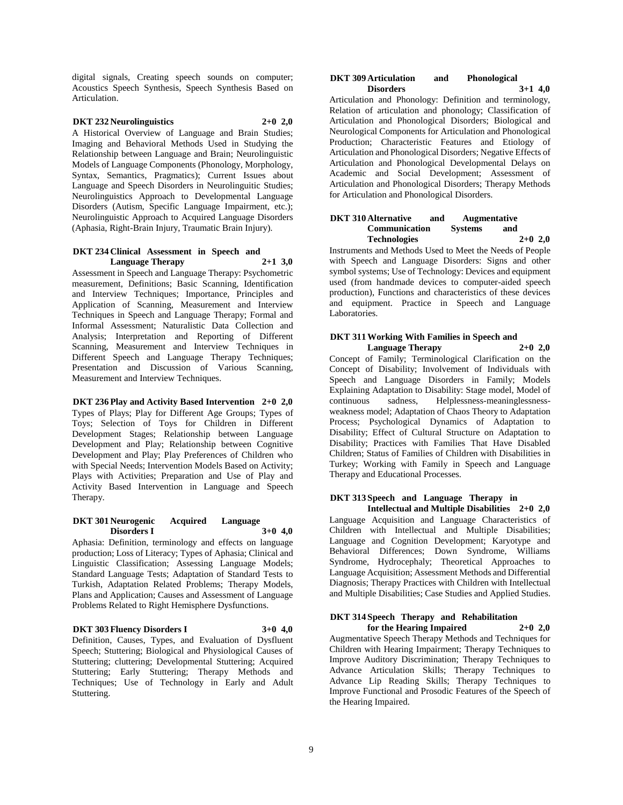digital signals, Creating speech sounds on computer; Acoustics Speech Synthesis, Speech Synthesis Based on Articulation.

# **DKT 232 Neurolinguistics 2+0 2,0**

A Historical Overview of Language and Brain Studies; Imaging and Behavioral Methods Used in Studying the Relationship between Language and Brain; Neurolinguistic Models of Language Components (Phonology, Morphology, Syntax, Semantics, Pragmatics); Current Issues about Language and Speech Disorders in Neurolinguitic Studies; Neurolinguistics Approach to Developmental Language Disorders (Autism, Specific Language Impairment, etc.); Neurolinguistic Approach to Acquired Language Disorders (Aphasia, Right-Brain Injury, Traumatic Brain Injury).

#### **DKT 234 Clinical Assessment in Speech and Language Therapy 2+1 3,0**

Assessment in Speech and Language Therapy: Psychometric measurement, Definitions; Basic Scanning, Identification and Interview Techniques; Importance, Principles and Application of Scanning, Measurement and Interview Techniques in Speech and Language Therapy; Formal and Informal Assessment; Naturalistic Data Collection and Analysis; Interpretation and Reporting of Different Scanning, Measurement and Interview Techniques in Different Speech and Language Therapy Techniques; Presentation and Discussion of Various Scanning, Measurement and Interview Techniques.

#### **DKT 236 Play and Activity Based Intervention 2+0 2,0**

Types of Plays; Play for Different Age Groups; Types of Toys; Selection of Toys for Children in Different Development Stages; Relationship between Language Development and Play; Relationship between Cognitive Development and Play; Play Preferences of Children who with Special Needs; Intervention Models Based on Activity; Plays with Activities; Preparation and Use of Play and Activity Based Intervention in Language and Speech Therapy.

#### **DKT 301 Neurogenic Acquired Language Disorders I 3+0 4,0**

Aphasia: Definition, terminology and effects on language production; Loss of Literacy; Types of Aphasia; Clinical and Linguistic Classification; Assessing Language Models; Standard Language Tests; Adaptation of Standard Tests to Turkish, Adaptation Related Problems; Therapy Models, Plans and Application; Causes and Assessment of Language Problems Related to Right Hemisphere Dysfunctions.

#### **DKT 303 Fluency Disorders I 3+0 4,0**

Definition, Causes, Types, and Evaluation of Dysfluent Speech; Stuttering; Biological and Physiological Causes of Stuttering; cluttering; Developmental Stuttering; Acquired Stuttering; Early Stuttering; Therapy Methods and Techniques; Use of Technology in Early and Adult Stuttering.

#### **DKT 309 Articulation and Phonological Disorders 3+1 4,0**

Articulation and Phonology: Definition and terminology, Relation of articulation and phonology; Classification of Articulation and Phonological Disorders; Biological and Neurological Components for Articulation and Phonological Production; Characteristic Features and Etiology of Articulation and Phonological Disorders; Negative Effects of Articulation and Phonological Developmental Delays on Academic and Social Development; Assessment of Articulation and Phonological Disorders; Therapy Methods for Articulation and Phonological Disorders.

#### **DKT 310 Alternative and Augmentative Communication Systems and Technologies 2+0 2,0**

Instruments and Methods Used to Meet the Needs of People with Speech and Language Disorders: Signs and other symbol systems; Use of Technology: Devices and equipment used (from handmade devices to computer-aided speech production), Functions and characteristics of these devices and equipment. Practice in Speech and Language Laboratories.

### **DKT 311 Working With Families in Speech and Language Therapy 2+0 2,0**

Concept of Family; Terminological Clarification on the Concept of Disability; Involvement of Individuals with Speech and Language Disorders in Family; Models Explaining Adaptation to Disability: Stage model, Model of continuous sadness, Helplessness-meaninglessnessweakness model; Adaptation of Chaos Theory to Adaptation Process; Psychological Dynamics of Adaptation to Disability; Effect of Cultural Structure on Adaptation to Disability; Practices with Families That Have Disabled Children; Status of Families of Children with Disabilities in Turkey; Working with Family in Speech and Language Therapy and Educational Processes.

#### **DKT 313 Speech and Language Therapy in Intellectual and Multiple Disabilities 2+0 2,0**

Language Acquisition and Language Characteristics of Children with Intellectual and Multiple Disabilities; Language and Cognition Development; Karyotype and Behavioral Differences; Down Syndrome, Williams Syndrome, Hydrocephaly; Theoretical Approaches to Language Acquisition; Assessment Methods and Differential Diagnosis; Therapy Practices with Children with Intellectual and Multiple Disabilities; Case Studies and Applied Studies.

# **DKT 314 Speech Therapy and Rehabilitation**

**for the Hearing Impaired 2+0 2,0**

Augmentative Speech Therapy Methods and Techniques for Children with Hearing Impairment; Therapy Techniques to Improve Auditory Discrimination; Therapy Techniques to Advance Articulation Skills; Therapy Techniques to Advance Lip Reading Skills; Therapy Techniques to Improve Functional and Prosodic Features of the Speech of the Hearing Impaired.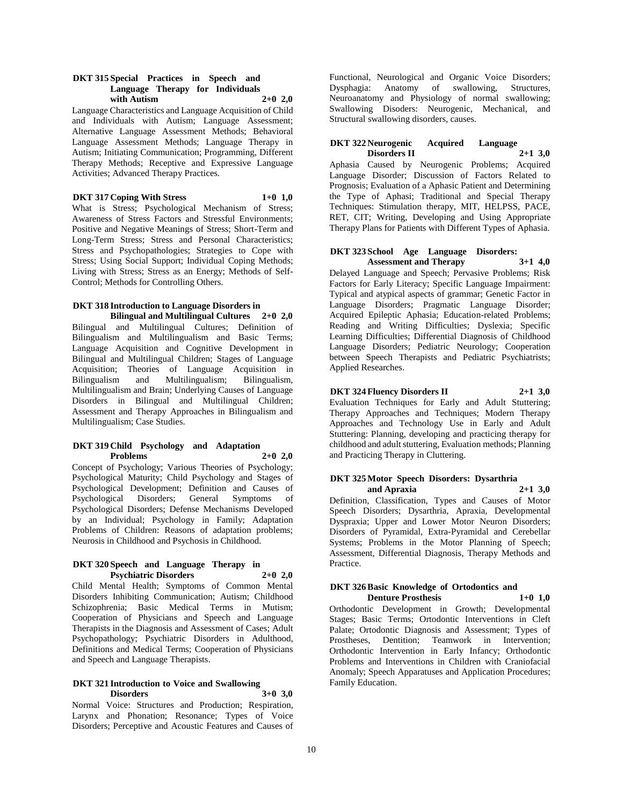#### **DKT 315 Special Practices in Speech and Language Therapy for Individuals with Autism 2+0 2,0**

Language Characteristics and Language Acquisition of Child and Individuals with Autism; Language Assessment; Alternative Language Assessment Methods; Behavioral Language Assessment Methods; Language Therapy in Autism; Initiating Communication; Programming, Different Therapy Methods; Receptive and Expressive Language Activities; Advanced Therapy Practices.

### **DKT 317 Coping With Stress 1+0 1,0**

What is Stress; Psychological Mechanism of Stress; Awareness of Stress Factors and Stressful Environments; Positive and Negative Meanings of Stress; Short-Term and Long-Term Stress; Stress and Personal Characteristics; Stress and Psychopathologies; Strategies to Cope with Stress; Using Social Support; Individual Coping Methods; Living with Stress; Stress as an Energy; Methods of Self-Control; Methods for Controlling Others.

# **DKT 318 Introduction to Language Disorders in**

**Bilingual and Multilingual Cultures 2+0 2,0** Bilingual and Multilingual Cultures; Definition of Bilingualism and Multilingualism and Basic Terms; Language Acquisition and Cognitive Development in Bilingual and Multilingual Children; Stages of Language Acquisition; Theories of Language Acquisition in Bilingualism and Multilingualism; Multilingualism and Brain; Underlying Causes of Language Disorders in Bilingual and Multilingual Children; Assessment and Therapy Approaches in Bilingualism and Multilingualism; Case Studies.

#### **DKT 319 Child Psychology and Adaptation Problems 2+0 2,0**

Concept of Psychology; Various Theories of Psychology; Psychological Maturity; Child Psychology and Stages of Psychological Development; Definition and Causes of Psychological Disorders; General Symptoms of Psychological Disorders; Defense Mechanisms Developed by an Individual; Psychology in Family; Adaptation Problems of Children: Reasons of adaptation problems; Neurosis in Childhood and Psychosis in Childhood.

#### **DKT 320 Speech and Language Therapy in Psychiatric Disorders 2+0 2,0**

Child Mental Health; Symptoms of Common Mental Disorders Inhibiting Communication; Autism; Childhood Schizophrenia; Basic Medical Terms in Mutism; Cooperation of Physicians and Speech and Language Therapists in the Diagnosis and Assessment of Cases; Adult Psychopathology; Psychiatric Disorders in Adulthood, Definitions and Medical Terms; Cooperation of Physicians and Speech and Language Therapists.

#### **DKT 321 Introduction to Voice and Swallowing Disorders 3+0 3,0**

Normal Voice: Structures and Production; Respiration, Larynx and Phonation; Resonance; Types of Voice Disorders; Perceptive and Acoustic Features and Causes of

Functional, Neurological and Organic Voice Disorders; Dysphagia: Anatomy of swallowing, Structures, Neuroanatomy and Physiology of normal swallowing; Swallowing Disoders: Neurogenic, Mechanical, and Structural swallowing disorders, causes.

#### **DKT 322 Neurogenic Acquired Language Disorders II**

Aphasia Caused by Neurogenic Problems; Acquired Language Disorder; Discussion of Factors Related to Prognosis; Evaluation of a Aphasic Patient and Determining the Type of Aphasi; Traditional and Special Therapy Techniques: Stimulation therapy, MIT, HELPSS, PACE, RET, CIT; Writing, Developing and Using Appropriate Therapy Plans for Patients with Different Types of Aphasia.

#### **DKT 323 School Age Language Disorders: Assessment and Therapy 3+1 4,0**

Delayed Language and Speech; Pervasive Problems; Risk Factors for Early Literacy; Specific Language Impairment: Typical and atypical aspects of grammar; Genetic Factor in Language Disorders; Pragmatic Language Disorder; Acquired Epileptic Aphasia; Education-related Problems; Reading and Writing Difficulties; Dyslexia; Specific Learning Difficulties; Differential Diagnosis of Childhood Language Disorders; Pediatric Neurology; Cooperation between Speech Therapists and Pediatric Psychiatrists; Applied Researches.

### **DKT 324 Fluency Disorders II 2+1 3,0**

Evaluation Techniques for Early and Adult Stuttering; Therapy Approaches and Techniques; Modern Therapy Approaches and Technology Use in Early and Adult Stuttering: Planning, developing and practicing therapy for childhood and adult stuttering, Evaluation methods; Planning and Practicing Therapy in Cluttering.

#### **DKT 325 Motor Speech Disorders: Dysarthria and Apraxia 2+1 3,0**

Definition, Classification, Types and Causes of Motor Speech Disorders; Dysarthria, Apraxia, Developmental Dyspraxia; Upper and Lower Motor Neuron Disorders; Disorders of Pyramidal, Extra-Pyramidal and Cerebellar Systems; Problems in the Motor Planning of Speech; Assessment, Differential Diagnosis, Therapy Methods and Practice.

#### **DKT 326 Basic Knowledge of Ortodontics and Denture Prosthesis 1+0 1,0**

Orthodontic Development in Growth; Developmental Stages; Basic Terms; Ortodontic Interventions in Cleft Palate; Ortodontic Diagnosis and Assessment; Types of Prostheses, Dentition; Teamwork in Intervention; Orthodontic Intervention in Early Infancy; Orthodontic Problems and Interventions in Children with Craniofacial Anomaly; Speech Apparatuses and Application Procedures; Family Education.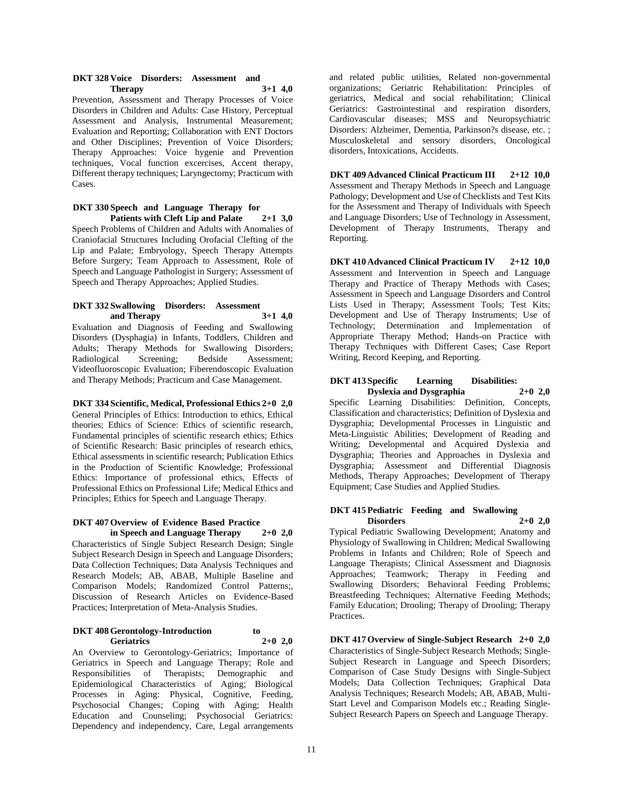#### **DKT 328 Voice Disorders: Assessment and Therapy 3+1 4,0**

Prevention, Assessment and Therapy Processes of Voice Disorders in Children and Adults: Case History, Perceptual Assessment and Analysis, Instrumental Measurement; Evaluation and Reporting; Collaboration with ENT Doctors and Other Disciplines; Prevention of Voice Disorders; Therapy Approaches: Voice hygenie and Prevention techniques, Vocal function excercises, Accent therapy, Different therapy techniques; Laryngectomy; Practicum with Cases.

#### **DKT 330 Speech and Language Therapy for Patients with Cleft Lip and Palate 2+1 3,0**

Speech Problems of Children and Adults with Anomalies of Craniofacial Structures Including Orofacial Clefting of the Lip and Palate; Embryology, Speech Therapy Attempts Before Surgery; Team Approach to Assessment, Role of Speech and Language Pathologist in Surgery; Assessment of Speech and Therapy Approaches; Applied Studies.

#### **DKT 332 Swallowing Disorders: Assessment and Therapy 3+1 4,0**

Evaluation and Diagnosis of Feeding and Swallowing Disorders (Dysphagia) in Infants, Toddlers, Children and Adults; Therapy Methods for Swallowing Disorders; Radiological Screening; Bedside Assessment; Videofluoroscopic Evaluation; Fiberendoscopic Evaluation and Therapy Methods; Practicum and Case Management.

**DKT 334 Scientific, Medical, Professional Ethics 2+0 2,0** General Principles of Ethics: Introduction to ethics, Ethical theories; Ethics of Science: Ethics of scientific research, Fundamental principles of scientific research ethics; Ethics of Scientific Research: Basic principles of research ethics, Ethical assessments in scientific research; Publication Ethics in the Production of Scientific Knowledge; Professional Ethics: Importance of professional ethics, Effects of Professional Ethics on Professional Life; Medical Ethics and Principles; Ethics for Speech and Language Therapy.

### **DKT 407 Overview of Evidence Based Practice in Speech and Language Therapy 2+0 2,0**

Characteristics of Single Subject Research Design; Single Subject Research Design in Speech and Language Disorders; Data Collection Techniques; Data Analysis Techniques and Research Models; AB, ABAB, Multiple Baseline and Comparison Models; Randomized Control Patterns;, Discussion of Research Articles on Evidence-Based Practices; Interpretation of Meta-Analysis Studies.

### **DKT 408 Gerontology-Introduction to Geriatrics 2+0 2,0**

An Overview to Gerontology-Geriatrics; Importance of Geriatrics in Speech and Language Therapy; Role and Responsibilities of Therapists; Demographic and Epidemiological Characteristics of Aging; Biological Processes in Aging: Physical, Cognitive, Feeding, Psychosocial Changes; Coping with Aging; Health Education and Counseling; Psychosocial Geriatrics: Dependency and independency, Care, Legal arrangements

and related public utilities, Related non-governmental organizations; Geriatric Rehabilitation: Principles of geriatrics, Medical and social rehabilitation; Clinical Geriatrics: Gastrointestinal and respiration disorders, Cardiovascular diseases; MSS and Neuropsychiatric Disorders: Alzheimer, Dementia, Parkinson?s disease, etc. ; Musculoskeletal and sensory disorders, Oncological disorders, Intoxications, Accidents.

**DKT 409 Advanced Clinical Practicum III 2+12 10,0** Assessment and Therapy Methods in Speech and Language Pathology; Development and Use of Checklists and Test Kits for the Assessment and Therapy of Individuals with Speech and Language Disorders; Use of Technology in Assessment, Development of Therapy Instruments, Therapy and Reporting.

**DKT 410 Advanced Clinical Practicum IV 2+12 10,0** Assessment and Intervention in Speech and Language Therapy and Practice of Therapy Methods with Cases; Assessment in Speech and Language Disorders and Control Lists Used in Therapy; Assessment Tools; Test Kits; Development and Use of Therapy Instruments; Use of Technology; Determination and Implementation of Appropriate Therapy Method; Hands-on Practice with Therapy Techniques with Different Cases; Case Report Writing, Record Keeping, and Reporting.

# **DKT 413 Specific Learning Disabilities:**

**Dyslexia and Dysgraphia 2+0 2,0** Specific Learning Disabilities: Definition, Concepts, Classification and characteristics; Definition of Dyslexia and Dysgraphia; Developmental Processes in Linguistic and Meta-Linguistic Abilities; Development of Reading and Writing; Developmental and Acquired Dyslexia and Dysgraphia; Theories and Approaches in Dyslexia and Dysgraphia; Assessment and Differential Diagnosis Methods, Therapy Approaches; Development of Therapy Equipment; Case Studies and Applied Studies.

# **DKT 415 Pediatric Feeding and Swallowing Disorders 2+0 2,0**

Typical Pediatric Swallowing Development; Anatomy and Physiology of Swallowing in Children; Medical Swallowing Problems in Infants and Children; Role of Speech and Language Therapists; Clinical Assessment and Diagnosis Approaches; Teamwork; Therapy in Feeding and Swallowing Disorders; Behavioral Feeding Problems; Breastfeeding Techniques; Alternative Feeding Methods; Family Education; Drooling; Therapy of Drooling; Therapy Practices.

**DKT 417 Overview of Single-Subject Research 2+0 2,0** Characteristics of Single-Subject Research Methods; Single-Subject Research in Language and Speech Disorders; Comparison of Case Study Designs with Single-Subject Models; Data Collection Techniques; Graphical Data Analysis Techniques; Research Models; AB, ABAB, Multi-Start Level and Comparison Models etc.; Reading Single-Subject Research Papers on Speech and Language Therapy.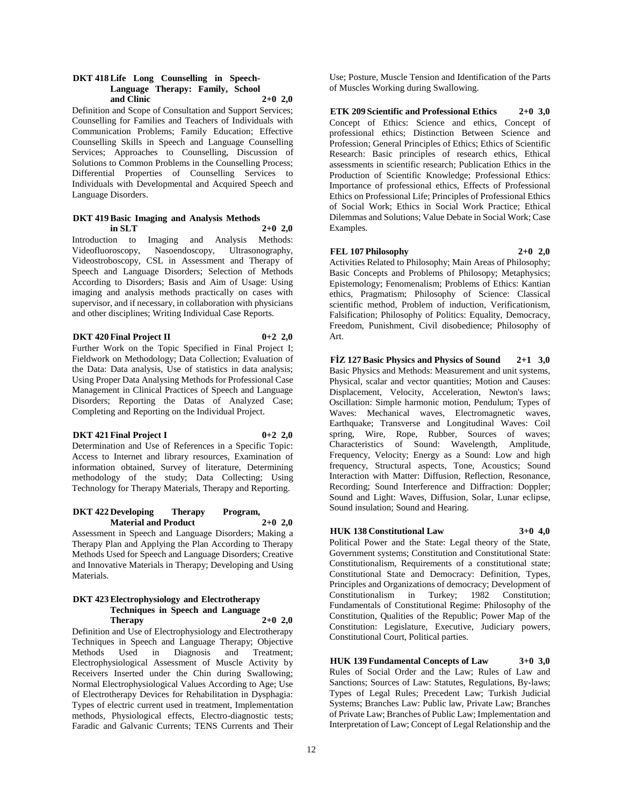#### **DKT 418 Life Long Counselling in Speech-Language Therapy: Family, School and Clinic 2+0 2,0**

Definition and Scope of Consultation and Support Services; Counselling for Families and Teachers of Individuals with Communication Problems; Family Education; Effective Counselling Skills in Speech and Language Counselling Services; Approaches to Counselling, Discussion of Solutions to Common Problems in the Counselling Process; Differential Properties of Counselling Services to Individuals with Developmental and Acquired Speech and Language Disorders.

#### **DKT 419 Basic Imaging and Analysis Methods in SLT 2+0 2,0**

Introduction to Imaging and Analysis Methods: Videofluoroscopy, Nasoendoscopy, Ultrasonography, Videostroboscopy, CSL in Assessment and Therapy of Speech and Language Disorders; Selection of Methods According to Disorders; Basis and Aim of Usage: Using imaging and analysis methods practically on cases with supervisor, and if necessary, in collaboration with physicians and other disciplines; Writing Individual Case Reports.

### **DKT 420 Final Project II 0+2 2,0**

Further Work on the Topic Specified in Final Project I; Fieldwork on Methodology; Data Collection; Evaluation of the Data: Data analysis, Use of statistics in data analysis; Using Proper Data Analysing Methods for Professional Case Management in Clinical Practices of Speech and Language Disorders; Reporting the Datas of Analyzed Case; Completing and Reporting on the Individual Project.

#### **DKT 421 Final Project I 0+2 2,0**

Determination and Use of References in a Specific Topic: Access to Internet and library resources, Examination of information obtained, Survey of literature, Determining methodology of the study; Data Collecting; Using Technology for Therapy Materials, Therapy and Reporting.

# **DKT 422 Developing Therapy Program, Material and Product 2+0 2,0**

Assessment in Speech and Language Disorders; Making a Therapy Plan and Applying the Plan According to Therapy Methods Used for Speech and Language Disorders; Creative and Innovative Materials in Therapy; Developing and Using Materials.

#### **DKT 423 Electrophysiology and Electrotherapy Techniques in Speech and Language Therapy 2+0 2,0**

Definition and Use of Electrophysiology and Electrotherapy Techniques in Speech and Language Therapy; Objective Methods Used in Diagnosis and Treatment; Electrophysiological Assessment of Muscle Activity by Receivers Inserted under the Chin during Swallowing; Normal Electrophysiological Values According to Age; Use of Electrotherapy Devices for Rehabilitation in Dysphagia: Types of electric current used in treatment, Implementation methods, Physiological effects, Electro-diagnostic tests; Faradic and Galvanic Currents; TENS Currents and Their

Use; Posture, Muscle Tension and Identification of the Parts of Muscles Working during Swallowing.

**ETK 209 Scientific and Professional Ethics 2+0 3,0** Concept of Ethics: Science and ethics, Concept of professional ethics; Distinction Between Science and Profession; General Principles of Ethics; Ethics of Scientific Research: Basic principles of research ethics, Ethical assessments in scientific research; Publication Ethics in the Production of Scientific Knowledge; Professional Ethics: Importance of professional ethics, Effects of Professional Ethics on Professional Life; Principles of Professional Ethics of Social Work; Ethics in Social Work Practice; Ethical Dilemmas and Solutions; Value Debate in Social Work; Case Examples.

# **FEL 107 Philosophy 2+0 2,0**

Activities Related to Philosophy; Main Areas of Philosophy; Basic Concepts and Problems of Philosopy; Metaphysics; Epistemology; Fenomenalism; Problems of Ethics: Kantian ethics, Pragmatism; Philosophy of Science: Classical scientific method, Problem of induction, Verificationism, Falsification; Philosophy of Politics: Equality, Democracy, Freedom, Punishment, Civil disobedience; Philosophy of Art.

**FİZ 127 Basic Physics and Physics of Sound 2+1 3,0** Basic Physics and Methods: Measurement and unit systems, Physical, scalar and vector quantities; Motion and Causes: Displacement, Velocity, Acceleration, Newton's laws; Oscillation: Simple harmonic motion, Pendulum; Types of Waves: Mechanical waves, Electromagnetic waves, Earthquake; Transverse and Longitudinal Waves: Coil spring, Wire, Rope, Rubber, Sources of waves; Characteristics of Sound: Wavelength, Amplitude, Frequency, Velocity; Energy as a Sound: Low and high frequency, Structural aspects, Tone, Acoustics; Sound Interaction with Matter: Diffusion, Reflection, Resonance, Recording; Sound Interference and Diffraction: Doppler; Sound and Light: Waves, Diffusion, Solar, Lunar eclipse, Sound insulation; Sound and Hearing.

# **HUK 138 Constitutional Law 3+0 4,0**

Political Power and the State: Legal theory of the State, Government systems; Constitution and Constitutional State: Constitutionalism, Requirements of a constitutional state; Constitutional State and Democracy: Definition, Types, Principles and Organizations of democracy; Development of Constitutionalism in Turkey; 1982 Constitution; Fundamentals of Constitutional Regime: Philosophy of the Constitution, Qualities of the Republic; Power Map of the Constitution: Legislature, Executive, Judiciary powers, Constitutional Court, Political parties.

**HUK 139 Fundamental Concepts of Law 3+0 3,0** Rules of Social Order and the Law; Rules of Law and Sanctions; Sources of Law: Statutes, Regulations, By-laws; Types of Legal Rules; Precedent Law; Turkish Judicial Systems; Branches Law: Public law, Private Law; Branches of Private Law; Branches of Public Law; Implementation and Interpretation of Law; Concept of Legal Relationship and the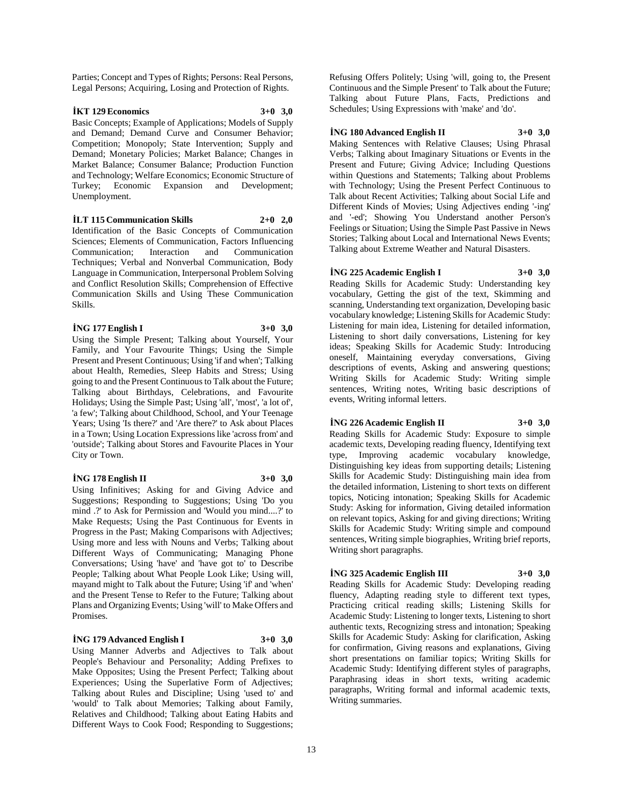Parties; Concept and Types of Rights; Persons: Real Persons, Legal Persons; Acquiring, Losing and Protection of Rights.

#### **İKT 129 Economics 3+0 3,0**

Basic Concepts; Example of Applications; Models of Supply and Demand; Demand Curve and Consumer Behavior; Competition; Monopoly; State Intervention; Supply and Demand; Monetary Policies; Market Balance; Changes in Market Balance; Consumer Balance; Production Function and Technology; Welfare Economics; Economic Structure of Turkey; Economic Expansion and Development; Unemployment.

### **İLT 115 Communication Skills 2+0 2,0**

Identification of the Basic Concepts of Communication Sciences; Elements of Communication, Factors Influencing Communication; Interaction and Communication Techniques; Verbal and Nonverbal Communication, Body Language in Communication, Interpersonal Problem Solving and Conflict Resolution Skills; Comprehension of Effective Communication Skills and Using These Communication Skills.

**İNG 177 English I 3+0 3,0**

Using the Simple Present; Talking about Yourself, Your Family, and Your Favourite Things; Using the Simple Present and Present Continuous; Using 'if and when'; Talking about Health, Remedies, Sleep Habits and Stress; Using going to and the Present Continuous to Talk about the Future; Talking about Birthdays, Celebrations, and Favourite Holidays; Using the Simple Past; Using 'all', 'most', 'a lot of', 'a few'; Talking about Childhood, School, and Your Teenage Years; Using 'Is there?' and 'Are there?' to Ask about Places in a Town; Using Location Expressions like 'across from' and 'outside'; Talking about Stores and Favourite Places in Your City or Town.

#### **İNG 178 English II 3+0 3,0**

Using Infinitives; Asking for and Giving Advice and Suggestions; Responding to Suggestions; Using 'Do you mind .?' to Ask for Permission and 'Would you mind....?' to Make Requests; Using the Past Continuous for Events in Progress in the Past; Making Comparisons with Adjectives; Using more and less with Nouns and Verbs; Talking about Different Ways of Communicating; Managing Phone Conversations; Using 'have' and 'have got to' to Describe People; Talking about What People Look Like; Using will, mayand might to Talk about the Future; Using 'if' and 'when' and the Present Tense to Refer to the Future; Talking about Plans and Organizing Events; Using 'will' to Make Offers and Promises.

#### **İNG 179 Advanced English I 3+0 3,0**

Using Manner Adverbs and Adjectives to Talk about People's Behaviour and Personality; Adding Prefixes to Make Opposites; Using the Present Perfect; Talking about Experiences; Using the Superlative Form of Adjectives; Talking about Rules and Discipline; Using 'used to' and 'would' to Talk about Memories; Talking about Family, Relatives and Childhood; Talking about Eating Habits and Different Ways to Cook Food; Responding to Suggestions;

Refusing Offers Politely; Using 'will, going to, the Present Continuous and the Simple Present' to Talk about the Future; Talking about Future Plans, Facts, Predictions and Schedules; Using Expressions with 'make' and 'do'.

#### **İNG 180 Advanced English II 3+0 3,0**

Making Sentences with Relative Clauses; Using Phrasal Verbs; Talking about Imaginary Situations or Events in the Present and Future; Giving Advice; Including Questions within Questions and Statements; Talking about Problems with Technology; Using the Present Perfect Continuous to Talk about Recent Activities; Talking about Social Life and Different Kinds of Movies; Using Adjectives ending '-ing' and '-ed'; Showing You Understand another Person's Feelings or Situation; Using the Simple Past Passive in News Stories; Talking about Local and International News Events; Talking about Extreme Weather and Natural Disasters.

#### **İNG 225 Academic English I 3+0 3,0**

Reading Skills for Academic Study: Understanding key vocabulary, Getting the gist of the text, Skimming and scanning, Understanding text organization, Developing basic vocabulary knowledge; Listening Skills for Academic Study: Listening for main idea, Listening for detailed information, Listening to short daily conversations, Listening for key ideas; Speaking Skills for Academic Study: Introducing oneself, Maintaining everyday conversations, Giving descriptions of events, Asking and answering questions; Writing Skills for Academic Study: Writing simple sentences, Writing notes, Writing basic descriptions of events, Writing informal letters.

#### **İNG 226 Academic English II 3+0 3,0**

Reading Skills for Academic Study: Exposure to simple academic texts, Developing reading fluency, Identifying text type, Improving academic vocabulary knowledge, Distinguishing key ideas from supporting details; Listening Skills for Academic Study: Distinguishing main idea from the detailed information, Listening to short texts on different topics, Noticing intonation; Speaking Skills for Academic Study: Asking for information, Giving detailed information on relevant topics, Asking for and giving directions; Writing Skills for Academic Study: Writing simple and compound sentences, Writing simple biographies, Writing brief reports, Writing short paragraphs.

# **İNG 325 Academic English III 3+0 3,0**

Reading Skills for Academic Study: Developing reading fluency, Adapting reading style to different text types, Practicing critical reading skills; Listening Skills for Academic Study: Listening to longer texts, Listening to short authentic texts, Recognizing stress and intonation; Speaking Skills for Academic Study: Asking for clarification, Asking for confirmation, Giving reasons and explanations, Giving short presentations on familiar topics; Writing Skills for Academic Study: Identifying different styles of paragraphs, Paraphrasing ideas in short texts, writing academic paragraphs, Writing formal and informal academic texts, Writing summaries.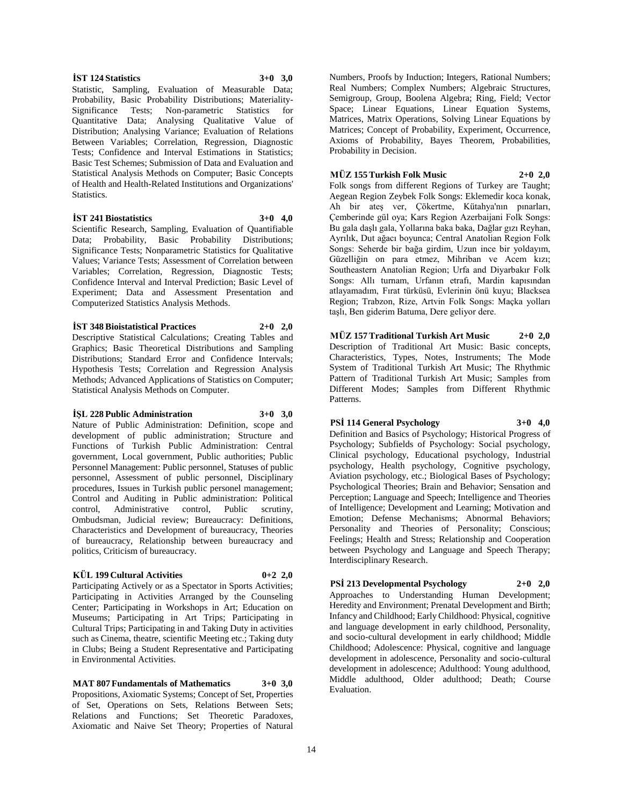14

#### **İST 124 Statistics 3+0 3,0**

Statistic, Sampling, Evaluation of Measurable Data; Probability, Basic Probability Distributions; Materiality-Significance Tests; Non-parametric Statistics for Quantitative Data; Analysing Qualitative Value of Distribution; Analysing Variance; Evaluation of Relations Between Variables; Correlation, Regression, Diagnostic Tests; Confidence and Interval Estimations in Statistics; Basic Test Schemes; Submission of Data and Evaluation and Statistical Analysis Methods on Computer; Basic Concepts of Health and Health-Related Institutions and Organizations' Statistics.

#### **İST 241 Biostatistics 3+0 4,0**

Scientific Research, Sampling, Evaluation of Quantifiable Data; Probability, Basic Probability Distributions; Significance Tests; Nonparametric Statistics for Qualitative Values; Variance Tests; Assessment of Correlation between Variables; Correlation, Regression, Diagnostic Tests; Confidence Interval and Interval Prediction; Basic Level of Experiment; Data and Assessment Presentation and Computerized Statistics Analysis Methods.

#### **İST 348 Bioistatistical Practices 2+0 2,0**

Descriptive Statistical Calculations; Creating Tables and Graphics; Basic Theoretical Distributions and Sampling Distributions; Standard Error and Confidence Intervals; Hypothesis Tests; Correlation and Regression Analysis Methods; Advanced Applications of Statistics on Computer; Statistical Analysis Methods on Computer.

#### **İŞL 228 Public Administration 3+0 3,0**

Nature of Public Administration: Definition, scope and development of public administration; Structure and Functions of Turkish Public Administration: Central government, Local government, Public authorities; Public Personnel Management: Public personnel, Statuses of public personnel, Assessment of public personnel, Disciplinary procedures, Issues in Turkish public personel management; Control and Auditing in Public administration: Political control, Administrative control, Public scrutiny, Ombudsman, Judicial review; Bureaucracy: Definitions, Characteristics and Development of bureaucracy, Theories of bureaucracy, Relationship between bureaucracy and politics, Criticism of bureaucracy.

#### **KÜL 199 Cultural Activities 0+2 2,0**

Participating Actively or as a Spectator in Sports Activities; Participating in Activities Arranged by the Counseling Center; Participating in Workshops in Art; Education on Museums; Participating in Art Trips; Participating in Cultural Trips; Participating in and Taking Duty in activities such as Cinema, theatre, scientific Meeting etc.; Taking duty in Clubs; Being a Student Representative and Participating in Environmental Activities.

**MAT 807 Fundamentals of Mathematics 3+0 3,0** Propositions, Axiomatic Systems; Concept of Set, Properties of Set, Operations on Sets, Relations Between Sets; Relations and Functions; Set Theoretic Paradoxes, Axiomatic and Naive Set Theory; Properties of Natural

Numbers, Proofs by Induction; Integers, Rational Numbers; Real Numbers; Complex Numbers; Algebraic Structures, Semigroup, Group, Boolena Algebra; Ring, Field; Vector Space; Linear Equations, Linear Equation Systems, Matrices, Matrix Operations, Solving Linear Equations by Matrices; Concept of Probability, Experiment, Occurrence, Axioms of Probability, Bayes Theorem, Probabilities, Probability in Decision.

# **MÜZ 155 Turkish Folk Music 2+0 2,0**

Folk songs from different Regions of Turkey are Taught; Aegean Region Zeybek Folk Songs: Eklemedir koca konak, Ah bir ateş ver, Çökertme, Kütahya'nın pınarları, Çemberinde gül oya; Kars Region Azerbaijani Folk Songs: Bu gala daşlı gala, Yollarına baka baka, Dağlar gızı Reyhan, Ayrılık, Dut ağacı boyunca; Central Anatolian Region Folk Songs: Seherde bir bağa girdim, Uzun ince bir yoldayım, Güzelliğin on para etmez, Mihriban ve Acem kızı; Southeastern Anatolian Region; Urfa and Diyarbakır Folk Songs: Allı turnam, Urfanın etrafı, Mardin kapısından atlayamadım, Fırat türküsü, Evlerinin önü kuyu; Blacksea Region; Trabzon, Rize, Artvin Folk Songs: Maçka yolları taşlı, Ben giderim Batuma, Dere geliyor dere.

**MÜZ 157 Traditional Turkish Art Music 2+0 2,0** Description of Traditional Art Music: Basic concepts, Characteristics, Types, Notes, Instruments; The Mode System of Traditional Turkish Art Music; The Rhythmic Pattern of Traditional Turkish Art Music; Samples from Different Modes; Samples from Different Rhythmic Patterns.

### **PSİ 114 General Psychology 3+0 4,0**

Definition and Basics of Psychology; Historical Progress of Psychology; Subfields of Psychology: Social psychology, Clinical psychology, Educational psychology, Industrial psychology, Health psychology, Cognitive psychology, Aviation psychology, etc.; Biological Bases of Psychology; Psychological Theories; Brain and Behavior; Sensation and Perception; Language and Speech; Intelligence and Theories of Intelligence; Development and Learning; Motivation and Emotion; Defense Mechanisms; Abnormal Behaviors; Personality and Theories of Personality; Conscious; Feelings; Health and Stress; Relationship and Cooperation between Psychology and Language and Speech Therapy; Interdisciplinary Research.

#### **PSİ 213 Developmental Psychology 2+0 2,0**

Approaches to Understanding Human Development; Heredity and Environment; Prenatal Development and Birth; Infancy and Childhood; Early Childhood: Physical, cognitive and language development in early childhood, Personality, and socio-cultural development in early childhood; Middle Childhood; Adolescence: Physical, cognitive and language development in adolescence, Personality and socio-cultural development in adolescence; Adulthood: Young adulthood, Middle adulthood, Older adulthood; Death; Course Evaluation.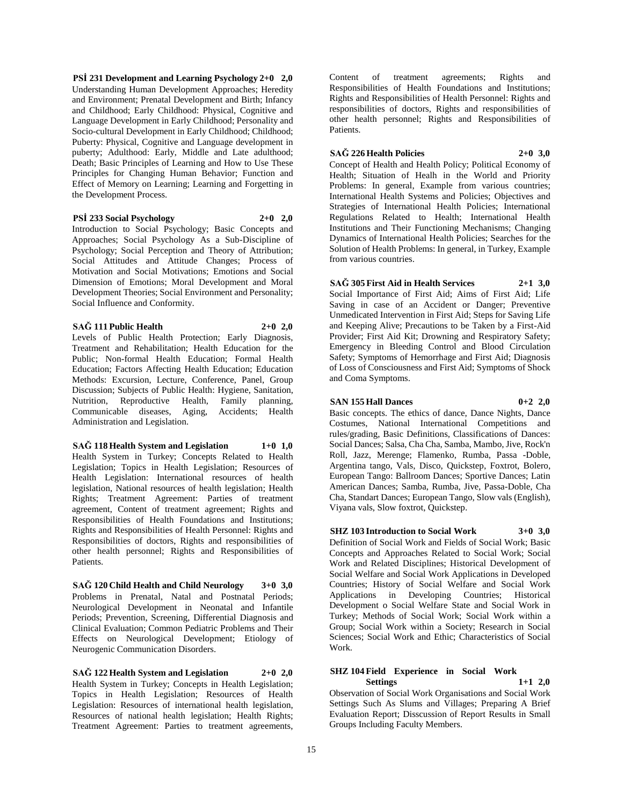**PSİ 231 Development and Learning Psychology 2+0 2,0** Understanding Human Development Approaches; Heredity and Environment; Prenatal Development and Birth; Infancy and Childhood; Early Childhood: Physical, Cognitive and Language Development in Early Childhood; Personality and Socio-cultural Development in Early Childhood; Childhood; Puberty: Physical, Cognitive and Language development in puberty; Adulthood: Early, Middle and Late adulthood; Death; Basic Principles of Learning and How to Use These Principles for Changing Human Behavior; Function and Effect of Memory on Learning; Learning and Forgetting in the Development Process.

#### **PSİ 233 Social Psychology 2+0 2,0**

Introduction to Social Psychology; Basic Concepts and Approaches; Social Psychology As a Sub-Discipline of Psychology; Social Perception and Theory of Attribution; Social Attitudes and Attitude Changes; Process of Motivation and Social Motivations; Emotions and Social Dimension of Emotions; Moral Development and Moral Development Theories; Social Environment and Personality; Social Influence and Conformity.

#### **SAĞ 111 Public Health 2+0 2,0**

Levels of Public Health Protection; Early Diagnosis, Treatment and Rehabilitation; Health Education for the Public; Non-formal Health Education; Formal Health Education; Factors Affecting Health Education; Education Methods: Excursion, Lecture, Conference, Panel, Group Discussion; Subjects of Public Health: Hygiene, Sanitation, Nutrition, Reproductive Health, Family planning, Communicable diseases, Aging, Accidents; Health Administration and Legislation.

#### **SAĞ 118 Health System and Legislation 1+0 1,0**

Health System in Turkey; Concepts Related to Health Legislation; Topics in Health Legislation; Resources of Health Legislation: International resources of health legislation, National resources of health legislation; Health Rights; Treatment Agreement: Parties of treatment agreement, Content of treatment agreement; Rights and Responsibilities of Health Foundations and Institutions; Rights and Responsibilities of Health Personnel: Rights and Responsibilities of doctors, Rights and responsibilities of other health personnel; Rights and Responsibilities of Patients.

**SAĞ 120 Child Health and Child Neurology 3+0 3,0** Problems in Prenatal, Natal and Postnatal Periods; Neurological Development in Neonatal and Infantile Periods; Prevention, Screening, Differential Diagnosis and Clinical Evaluation; Common Pediatric Problems and Their Effects on Neurological Development; Etiology of Neurogenic Communication Disorders.

**SAĞ 122 Health System and Legislation 2+0 2,0** Health System in Turkey; Concepts in Health Legislation; Topics in Health Legislation; Resources of Health Legislation: Resources of international health legislation, Resources of national health legislation; Health Rights; Treatment Agreement: Parties to treatment agreements,

Content of treatment agreements; Rights and Responsibilities of Health Foundations and Institutions; Rights and Responsibilities of Health Personnel: Rights and responsibilities of doctors, Rights and responsibilities of other health personnel; Rights and Responsibilities of Patients.

### **SAĞ 226 Health Policies 2+0 3,0**

Concept of Health and Health Policy; Political Economy of Health; Situation of Healh in the World and Priority Problems: In general, Example from various countries; International Health Systems and Policies; Objectives and Strategies of International Health Policies; International Regulations Related to Health; International Health Institutions and Their Functioning Mechanisms; Changing Dynamics of International Health Policies; Searches for the Solution of Health Problems: In general, in Turkey, Example from various countries.

# **SAĞ 305 First Aid in Health Services 2+1 3,0**

Social Importance of First Aid; Aims of First Aid; Life Saving in case of an Accident or Danger; Preventive Unmedicated Intervention in First Aid; Steps for Saving Life and Keeping Alive; Precautions to be Taken by a First-Aid Provider; First Aid Kit; Drowning and Respiratory Safety; Emergency in Bleeding Control and Blood Circulation Safety; Symptoms of Hemorrhage and First Aid; Diagnosis of Loss of Consciousness and First Aid; Symptoms of Shock and Coma Symptoms.

# **SAN 155 Hall Dances 0+2 2,0**

Basic concepts. The ethics of dance, Dance Nights, Dance Costumes, National International Competitions and rules/grading, Basic Definitions, Classifications of Dances: Social Dances; Salsa, Cha Cha, Samba, Mambo, Jive, Rock'n Roll, Jazz, Merenge; Flamenko, Rumba, Passa -Doble, Argentina tango, Vals, Disco, Quickstep, Foxtrot, Bolero, European Tango: Ballroom Dances; Sportive Dances; Latin American Dances; Samba, Rumba, Jive, Passa-Doble, Cha Cha, Standart Dances; European Tango, Slow vals (English), Viyana vals, Slow foxtrot, Quickstep.

**SHZ 103 Introduction to Social Work 3+0 3,0** Definition of Social Work and Fields of Social Work; Basic Concepts and Approaches Related to Social Work; Social Work and Related Disciplines; Historical Development of Social Welfare and Social Work Applications in Developed Countries; History of Social Welfare and Social Work Applications in Developing Countries; Historical Development o Social Welfare State and Social Work in Turkey; Methods of Social Work; Social Work within a Group; Social Work within a Society; Research in Social Sciences; Social Work and Ethic; Characteristics of Social Work.

### **SHZ 104 Field Experience in Social Work Settings 1+1 2,0**

Observation of Social Work Organisations and Social Work Settings Such As Slums and Villages; Preparing A Brief Evaluation Report; Disscussion of Report Results in Small Groups Including Faculty Members.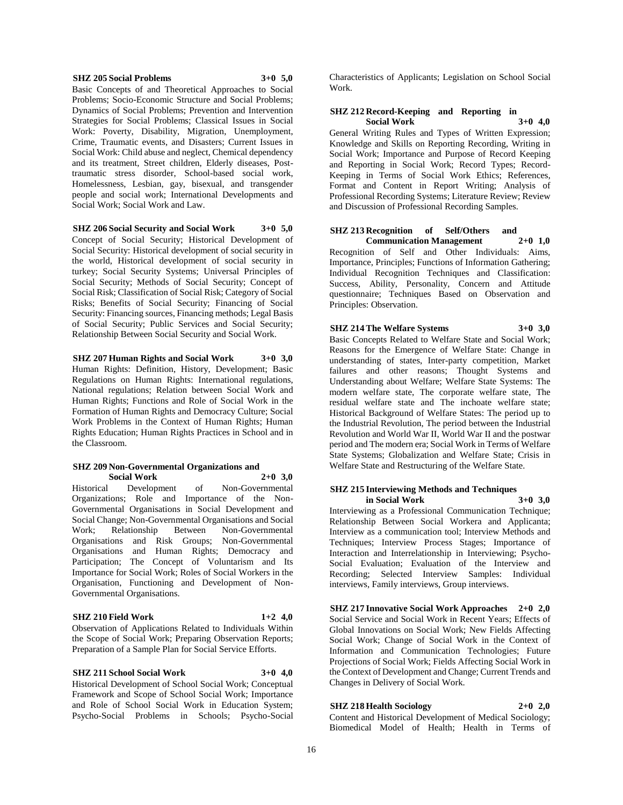#### **SHZ 205 Social Problems 3+0 5,0**

Basic Concepts of and Theoretical Approaches to Social Problems; Socio-Economic Structure and Social Problems; Dynamics of Social Problems; Prevention and Intervention Strategies for Social Problems; Classical Issues in Social Work: Poverty, Disability, Migration, Unemployment, Crime, Traumatic events, and Disasters; Current Issues in Social Work: Child abuse and neglect, Chemical dependency and its treatment, Street children, Elderly diseases, Posttraumatic stress disorder, School-based social work, Homelessness, Lesbian, gay, bisexual, and transgender people and social work; International Developments and Social Work; Social Work and Law.

# **SHZ 206 Social Security and Social Work 3+0 5,0**

Concept of Social Security; Historical Development of Social Security: Historical development of social security in the world, Historical development of social security in turkey; Social Security Systems; Universal Principles of Social Security; Methods of Social Security; Concept of Social Risk; Classification of Social Risk; Category of Social Risks; Benefits of Social Security; Financing of Social Security: Financing sources, Financing methods; Legal Basis of Social Security; Public Services and Social Security; Relationship Between Social Security and Social Work.

**SHZ 207 Human Rights and Social Work 3+0 3,0** Human Rights: Definition, History, Development; Basic Regulations on Human Rights: International regulations, National regulations; Relation between Social Work and Human Rights; Functions and Role of Social Work in the Formation of Human Rights and Democracy Culture; Social Work Problems in the Context of Human Rights; Human Rights Education; Human Rights Practices in School and in the Classroom.

#### **SHZ 209 Non-Governmental Organizations and Social Work 2+0 3,0**

Historical Development of Non-Governmental Organizations; Role and Importance of the Non-Governmental Organisations in Social Development and Social Change; Non-Governmental Organisations and Social Work; Relationship Between Non-Governmental Organisations and Risk Groups; Non-Governmental Organisations and Human Rights; Democracy and Participation; The Concept of Voluntarism and Its Importance for Social Work; Roles of Social Workers in the Organisation, Functioning and Development of Non-Governmental Organisations.

### **SHZ 210 Field Work 1+2 4,0**

Observation of Applications Related to Individuals Within the Scope of Social Work; Preparing Observation Reports; Preparation of a Sample Plan for Social Service Efforts.

#### **SHZ 211 School Social Work 3+0 4,0**

Historical Development of School Social Work; Conceptual Framework and Scope of School Social Work; Importance and Role of School Social Work in Education System; Psycho-Social Problems in Schools; Psycho-Social Characteristics of Applicants; Legislation on School Social Work.

#### **SHZ 212 Record-Keeping and Reporting in Social Work 3+0 4,0**

General Writing Rules and Types of Written Expression; Knowledge and Skills on Reporting Recording, Writing in Social Work; Importance and Purpose of Record Keeping and Reporting in Social Work; Record Types; Record-Keeping in Terms of Social Work Ethics; References, Format and Content in Report Writing; Analysis of Professional Recording Systems; Literature Review; Review and Discussion of Professional Recording Samples.

#### **SHZ 213 Recognition of Self/Others and Communication Management 2+0 1,0**

Recognition of Self and Other Individuals: Aims, Importance, Principles; Functions of Information Gathering; Individual Recognition Techniques and Classification: Success, Ability, Personality, Concern and Attitude questionnaire; Techniques Based on Observation and Principles: Observation.

# **SHZ 214 The Welfare Systems 3+0 3,0**

Basic Concepts Related to Welfare State and Social Work; Reasons for the Emergence of Welfare State: Change in understanding of states, Inter-party competition, Market failures and other reasons; Thought Systems and Understanding about Welfare; Welfare State Systems: The modern welfare state, The corporate welfare state, The residual welfare state and The inchoate welfare state; Historical Background of Welfare States: The period up to the Industrial Revolution, The period between the Industrial Revolution and World War II, World War II and the postwar period and The modern era; Social Work in Terms of Welfare State Systems; Globalization and Welfare State; Crisis in Welfare State and Restructuring of the Welfare State.

#### **SHZ 215 Interviewing Methods and Techniques in Social Work 3+0 3,0**

Interviewing as a Professional Communication Technique; Relationship Between Social Workera and Applicanta; Interview as a communication tool; Interview Methods and Techniques; Interview Process Stages; Importance of Interaction and Interrelationship in Interviewing; Psycho-Social Evaluation; Evaluation of the Interview and Recording; Selected Interview Samples: Individual interviews, Family interviews, Group interviews.

**SHZ 217 Innovative Social Work Approaches 2+0 2,0** Social Service and Social Work in Recent Years; Effects of Global Innovations on Social Work; New Fields Affecting Social Work; Change of Social Work in the Context of Information and Communication Technologies; Future Projections of Social Work; Fields Affecting Social Work in the Context of Development and Change; Current Trends and Changes in Delivery of Social Work.

# **SHZ 218 Health Sociology 2+0 2,0**

Content and Historical Development of Medical Sociology; Biomedical Model of Health; Health in Terms of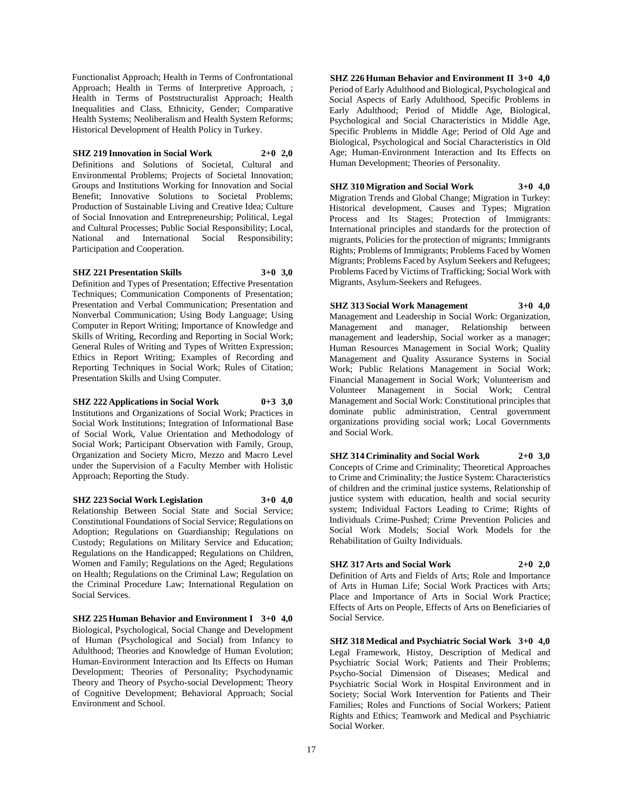Functionalist Approach; Health in Terms of Confrontational Approach; Health in Terms of Interpretive Approach, ; Health in Terms of Poststructuralist Approach; Health Inequalities and Class, Ethnicity, Gender; Comparative Health Systems; Neoliberalism and Health System Reforms; Historical Development of Health Policy in Turkey.

# **SHZ 219 Innovation in Social Work 2+0 2,0**

Definitions and Solutions of Societal, Cultural and Environmental Problems; Projects of Societal Innovation; Groups and Institutions Working for Innovation and Social Benefit; Innovative Solutions to Societal Problems; Production of Sustainable Living and Creative Idea; Culture of Social Innovation and Entrepreneurship; Political, Legal and Cultural Processes; Public Social Responsibility; Local, National and International Social Responsibility; Participation and Cooperation.

#### **SHZ 221 Presentation Skills 3+0 3,0**

Definition and Types of Presentation; Effective Presentation Techniques; Communication Components of Presentation; Presentation and Verbal Communication; Presentation and Nonverbal Communication; Using Body Language; Using Computer in Report Writing; Importance of Knowledge and Skills of Writing, Recording and Reporting in Social Work; General Rules of Writing and Types of Written Expression; Ethics in Report Writing; Examples of Recording and Reporting Techniques in Social Work; Rules of Citation; Presentation Skills and Using Computer.

**SHZ 222 Applications in Social Work 0+3 3,0**

Institutions and Organizations of Social Work; Practices in Social Work Institutions; Integration of Informational Base of Social Work, Value Orientation and Methodology of Social Work; Participant Observation with Family, Group, Organization and Society Micro, Mezzo and Macro Level under the Supervision of a Faculty Member with Holistic Approach; Reporting the Study.

**SHZ 223 Social Work Legislation 3+0 4,0**

Relationship Between Social State and Social Service; Constitutional Foundations of Social Service; Regulations on Adoption; Regulations on Guardianship; Regulations on Custody; Regulations on Military Service and Education; Regulations on the Handicapped; Regulations on Children, Women and Family; Regulations on the Aged; Regulations on Health; Regulations on the Criminal Law; Regulation on the Criminal Procedure Law; International Regulation on Social Services.

**SHZ 225 Human Behavior and Environment I 3+0 4,0** Biological, Psychological, Social Change and Development of Human (Psychological and Social) from Infancy to Adulthood; Theories and Knowledge of Human Evolution; Human-Environment Interaction and Its Effects on Human Development; Theories of Personality; Psychodynamic Theory and Theory of Psycho-social Development; Theory of Cognitive Development; Behavioral Approach; Social Environment and School.

**SHZ 226 Human Behavior and Environment II 3+0 4,0** Period of Early Adulthood and Biological, Psychological and Social Aspects of Early Adulthood, Specific Problems in Early Adulthood; Period of Middle Age, Biological, Psychological and Social Characteristics in Middle Age, Specific Problems in Middle Age; Period of Old Age and Biological, Psychological and Social Characteristics in Old Age; Human-Environment Interaction and Its Effects on Human Development; Theories of Personality.

**SHZ 310 Migration and Social Work 3+0 4,0** Migration Trends and Global Change; Migration in Turkey: Historical development, Causes and Types; Migration Process and Its Stages; Protection of Immigrants: International principles and standards for the protection of migrants, Policies for the protection of migrants; Immigrants Rights; Problems of Immigrants; Problems Faced by Women Migrants; Problems Faced by Asylum Seekers and Refugees; Problems Faced by Victims of Trafficking; Social Work with Migrants, Asylum-Seekers and Refugees.

**SHZ 313 Social Work Management 3+0 4,0** Management and Leadership in Social Work: Organization, Management and manager, Relationship between management and leadership, Social worker as a manager; Human Resources Management in Social Work; Quality Management and Quality Assurance Systems in Social Work; Public Relations Management in Social Work; Financial Management in Social Work; Volunteerism and Volunteer Management in Social Work; Central Management and Social Work: Constitutional principles that dominate public administration, Central government organizations providing social work; Local Governments and Social Work.

**SHZ 314 Criminality and Social Work 2+0 3,0** Concepts of Crime and Criminality; Theoretical Approaches to Crime and Criminality; the Justice System: Characteristics of children and the criminal justice systems, Relationship of justice system with education, health and social security system; Individual Factors Leading to Crime; Rights of Individuals Crime-Pushed; Crime Prevention Policies and Social Work Models; Social Work Models for the Rehabilitation of Guilty Individuals.

# **SHZ 317 Arts and Social Work 2+0 2,0**

Definition of Arts and Fields of Arts; Role and Importance of Arts in Human Life; Social Work Practices with Arts; Place and Importance of Arts in Social Work Practice; Effects of Arts on People, Effects of Arts on Beneficiaries of Social Service.

**SHZ 318 Medical and Psychiatric Social Work 3+0 4,0** Legal Framework, Histoy, Description of Medical and Psychiatric Social Work; Patients and Their Problems; Psycho-Social Dimension of Diseases; Medical and Psychiatric Social Work in Hospital Environment and in Society; Social Work Intervention for Patients and Their Families; Roles and Functions of Social Workers; Patient Rights and Ethics; Teamwork and Medical and Psychiatric Social Worker.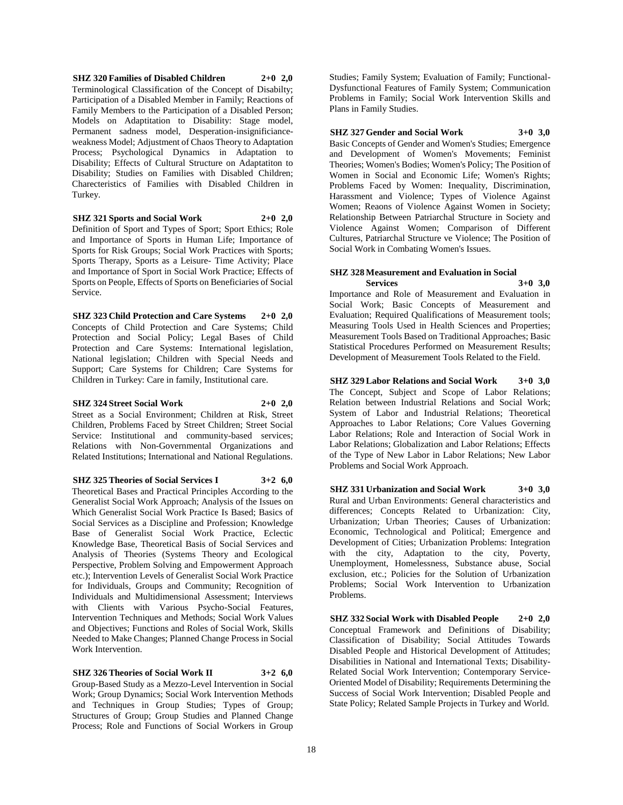**SHZ 320 Families of Disabled Children 2+0 2,0** Terminological Classification of the Concept of Disabilty; Participation of a Disabled Member in Family; Reactions of Family Members to the Participation of a Disabled Person; Models on Adaptitation to Disability: Stage model, Permanent sadness model, Desperation-insignificianceweakness Model; Adjustment of Chaos Theory to Adaptation Process; Psychological Dynamics in Adaptation to Disability; Effects of Cultural Structure on Adaptatiton to Disability; Studies on Families with Disabled Children; Charecteristics of Families with Disabled Children in Turkey.

# **SHZ 321 Sports and Social Work 2+0 2,0**

Definition of Sport and Types of Sport; Sport Ethics; Role and Importance of Sports in Human Life; Importance of Sports for Risk Groups; Social Work Practices with Sports; Sports Therapy, Sports as a Leisure- Time Activity; Place and Importance of Sport in Social Work Practice; Effects of Sports on People, Effects of Sports on Beneficiaries of Social Service.

**SHZ 323 Child Protection and Care Systems 2+0 2,0** Concepts of Child Protection and Care Systems; Child Protection and Social Policy; Legal Bases of Child Protection and Care Systems: International legislation, National legislation; Children with Special Needs and Support; Care Systems for Children; Care Systems for Children in Turkey: Care in family, Institutional care.

#### **SHZ 324 Street Social Work 2+0 2,0**

Street as a Social Environment; Children at Risk, Street Children, Problems Faced by Street Children; Street Social Service: Institutional and community-based services; Relations with Non-Governmental Organizations and Related Institutions; International and National Regulations.

**SHZ 325 Theories of Social Services I 3+2 6,0**

Theoretical Bases and Practical Principles According to the Generalist Social Work Approach; Analysis of the Issues on Which Generalist Social Work Practice Is Based; Basics of Social Services as a Discipline and Profession; Knowledge Base of Generalist Social Work Practice, Eclectic Knowledge Base, Theoretical Basis of Social Services and Analysis of Theories (Systems Theory and Ecological Perspective, Problem Solving and Empowerment Approach etc.); Intervention Levels of Generalist Social Work Practice for Individuals, Groups and Community; Recognition of Individuals and Multidimensional Assessment; Interviews with Clients with Various Psycho-Social Features, Intervention Techniques and Methods; Social Work Values and Objectives; Functions and Roles of Social Work, Skills Needed to Make Changes; Planned Change Process in Social Work Intervention.

#### **SHZ 326 Theories of Social Work II 3+2 6,0**

Group-Based Study as a Mezzo-Level Intervention in Social Work; Group Dynamics; Social Work Intervention Methods and Techniques in Group Studies; Types of Group; Structures of Group; Group Studies and Planned Change Process; Role and Functions of Social Workers in Group

Studies; Family System; Evaluation of Family; Functional-Dysfunctional Features of Family System; Communication Problems in Family; Social Work Intervention Skills and Plans in Family Studies.

# **SHZ 327 Gender and Social Work 3+0 3,0**

Basic Concepts of Gender and Women's Studies; Emergence and Development of Women's Movements; Feminist Theories; Women's Bodies; Women's Policy; The Position of Women in Social and Economic Life; Women's Rights; Problems Faced by Women: Inequality, Discrimination, Harassment and Violence; Types of Violence Against Women; Reaons of Violence Against Women in Society; Relationship Between Patriarchal Structure in Society and Violence Against Women; Comparison of Different Cultures, Patriarchal Structure ve Violence; The Position of Social Work in Combating Women's Issues.

### **SHZ 328 Measurement and Evaluation in Social Services 3+0 3,0**

Importance and Role of Measurement and Evaluation in Social Work; Basic Concepts of Measurement and Evaluation; Required Qualifications of Measurement tools; Measuring Tools Used in Health Sciences and Properties; Measurement Tools Based on Traditional Approaches; Basic Statistical Procedures Performed on Measurement Results; Development of Measurement Tools Related to the Field.

**SHZ 329 Labor Relations and Social Work 3+0 3,0** The Concept, Subject and Scope of Labor Relations; Relation between Industrial Relations and Social Work; System of Labor and Industrial Relations; Theoretical Approaches to Labor Relations; Core Values Governing Labor Relations; Role and Interaction of Social Work in Labor Relations; Globalization and Labor Relations; Effects of the Type of New Labor in Labor Relations; New Labor Problems and Social Work Approach.

**SHZ 331 Urbanization and Social Work 3+0 3,0** Rural and Urban Environments: General characteristics and differences; Concepts Related to Urbanization: City, Urbanization; Urban Theories; Causes of Urbanization: Economic, Technological and Political; Emergence and Development of Cities; Urbanization Problems: Integration with the city, Adaptation to the city, Poverty, Unemployment, Homelessness, Substance abuse, Social exclusion, etc.; Policies for the Solution of Urbanization Problems; Social Work Intervention to Urbanization Problems.

**SHZ 332 Social Work with Disabled People 2+0 2,0** Conceptual Framework and Definitions of Disability; Classification of Disability; Social Attitudes Towards Disabled People and Historical Development of Attitudes; Disabilities in National and International Texts; Disability-Related Social Work Intervention; Contemporary Service-Oriented Model of Disability; Requirements Determining the Success of Social Work Intervention; Disabled People and State Policy; Related Sample Projects in Turkey and World.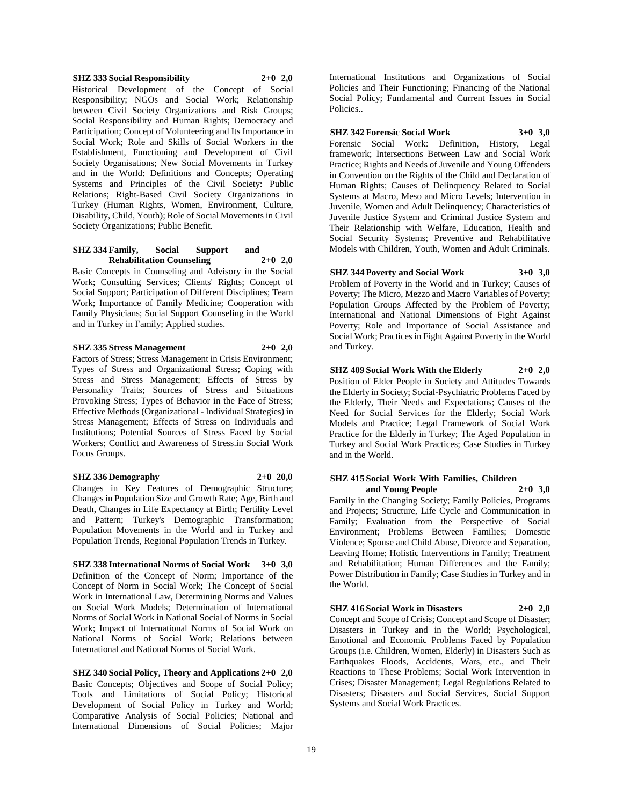#### **SHZ 333 Social Responsibility 2+0 2,0**

Historical Development of the Concept of Social Responsibility; NGOs and Social Work; Relationship between Civil Society Organizations and Risk Groups; Social Responsibility and Human Rights; Democracy and Participation; Concept of Volunteering and Its Importance in Social Work; Role and Skills of Social Workers in the Establishment, Functioning and Development of Civil Society Organisations; New Social Movements in Turkey and in the World: Definitions and Concepts; Operating Systems and Principles of the Civil Society: Public Relations; Right-Based Civil Society Organizations in Turkey (Human Rights, Women, Environment, Culture, Disability, Child, Youth); Role of Social Movements in Civil Society Organizations; Public Benefit.

#### **SHZ 334 Family, Social Support and Rehabilitation Counseling 2+0 2,0**

Basic Concepts in Counseling and Advisory in the Social Work; Consulting Services; Clients' Rights; Concept of Social Support; Participation of Different Disciplines; Team Work; Importance of Family Medicine; Cooperation with Family Physicians; Social Support Counseling in the World and in Turkey in Family; Applied studies.

#### **SHZ 335 Stress Management 2+0 2,0**

Factors of Stress; Stress Management in Crisis Environment; Types of Stress and Organizational Stress; Coping with Stress and Stress Management; Effects of Stress by Personality Traits; Sources of Stress and Situations Provoking Stress; Types of Behavior in the Face of Stress; Effective Methods (Organizational - Individual Strategies) in Stress Management; Effects of Stress on Individuals and Institutions; Potential Sources of Stress Faced by Social Workers; Conflict and Awareness of Stress.in Social Work Focus Groups.

#### **SHZ 336 Demography 2+0 20,0**

Changes in Key Features of Demographic Structure; Changes in Population Size and Growth Rate; Age, Birth and Death, Changes in Life Expectancy at Birth; Fertility Level and Pattern; Turkey's Demographic Transformation; Population Movements in the World and in Turkey and Population Trends, Regional Population Trends in Turkey.

**SHZ 338 International Norms of Social Work 3+0 3,0** Definition of the Concept of Norm; Importance of the Concept of Norm in Social Work; The Concept of Social Work in International Law, Determining Norms and Values on Social Work Models; Determination of International Norms of Social Work in National Social of Norms in Social Work; Impact of International Norms of Social Work on National Norms of Social Work; Relations between International and National Norms of Social Work.

#### **SHZ 340 Social Policy, Theory and Applications 2+0 2,0**

Basic Concepts; Objectives and Scope of Social Policy; Tools and Limitations of Social Policy; Historical Development of Social Policy in Turkey and World; Comparative Analysis of Social Policies; National and International Dimensions of Social Policies; Major

International Institutions and Organizations of Social Policies and Their Functioning; Financing of the National Social Policy; Fundamental and Current Issues in Social Policies..

**SHZ 342 Forensic Social Work 3+0 3,0** Forensic Social Work: Definition, History, Legal framework; Intersections Between Law and Social Work

Practice; Rights and Needs of Juvenile and Young Offenders in Convention on the Rights of the Child and Declaration of Human Rights; Causes of Delinquency Related to Social Systems at Macro, Meso and Micro Levels; Intervention in Juvenile, Women and Adult Delinquency; Characteristics of Juvenile Justice System and Criminal Justice System and Their Relationship with Welfare, Education, Health and Social Security Systems; Preventive and Rehabilitative Models with Children, Youth, Women and Adult Criminals.

**SHZ 344 Poverty and Social Work 3+0 3,0** Problem of Poverty in the World and in Turkey; Causes of Poverty; The Micro, Mezzo and Macro Variables of Poverty; Population Groups Affected by the Problem of Poverty; International and National Dimensions of Fight Against Poverty; Role and Importance of Social Assistance and Social Work; Practices in Fight Against Poverty in the World and Turkey.

**SHZ 409 Social Work With the Elderly 2+0 2,0** Position of Elder People in Society and Attitudes Towards the Elderly in Society; Social-Psychiatric Problems Faced by the Elderly, Their Needs and Expectations; Causes of the Need for Social Services for the Elderly; Social Work Models and Practice; Legal Framework of Social Work Practice for the Elderly in Turkey; The Aged Population in Turkey and Social Work Practices; Case Studies in Turkey and in the World.

#### **SHZ 415 Social Work With Families, Children and Young People 2+0 3,0**

Family in the Changing Society; Family Policies, Programs and Projects; Structure, Life Cycle and Communication in Family; Evaluation from the Perspective of Social Environment; Problems Between Families; Domestic Violence; Spouse and Child Abuse, Divorce and Separation, Leaving Home; Holistic Interventions in Family; Treatment and Rehabilitation; Human Differences and the Family; Power Distribution in Family; Case Studies in Turkey and in the World.

#### **SHZ 416 Social Work in Disasters 2+0 2,0**

Concept and Scope of Crisis; Concept and Scope of Disaster; Disasters in Turkey and in the World; Psychological, Emotional and Economic Problems Faced by Population Groups (i.e. Children, Women, Elderly) in Disasters Such as Earthquakes Floods, Accidents, Wars, etc., and Their Reactions to These Problems; Social Work Intervention in Crises; Disaster Management; Legal Regulations Related to Disasters; Disasters and Social Services, Social Support Systems and Social Work Practices.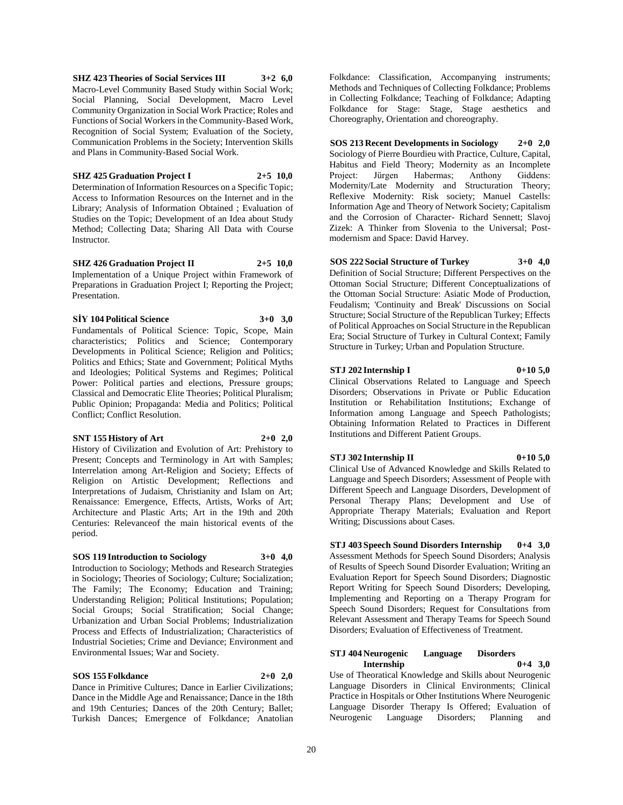**SHZ 423 Theories of Social Services III 3+2 6,0** Macro-Level Community Based Study within Social Work; Social Planning, Social Development, Macro Level Community Organization in Social Work Practice; Roles and Functions of Social Workers in the Community-Based Work, Recognition of Social System; Evaluation of the Society, Communication Problems in the Society; Intervention Skills and Plans in Community-Based Social Work.

# **SHZ 425 Graduation Project I 2+5 10,0**

Determination of Information Resources on a Specific Topic; Access to Information Resources on the Internet and in the Library; Analysis of Information Obtained ; Evaluation of Studies on the Topic; Development of an Idea about Study Method; Collecting Data; Sharing All Data with Course Instructor.

#### **SHZ 426 Graduation Project II 2+5 10,0** Implementation of a Unique Project within Framework of Preparations in Graduation Project I; Reporting the Project; Presentation.

**SİY 104 Political Science 3+0 3,0** Fundamentals of Political Science: Topic, Scope, Main characteristics; Politics and Science; Contemporary Developments in Political Science; Religion and Politics; Politics and Ethics; State and Government; Political Myths and Ideologies; Political Systems and Regimes; Political Power: Political parties and elections, Pressure groups; Classical and Democratic Elite Theories; Political Pluralism; Public Opinion; Propaganda: Media and Politics; Political Conflict; Conflict Resolution.

#### **SNT 155 History of Art 2+0 2,0**

History of Civilization and Evolution of Art: Prehistory to Present; Concepts and Terminology in Art with Samples; Interrelation among Art-Religion and Society; Effects of Religion on Artistic Development; Reflections and Interpretations of Judaism, Christianity and Islam on Art; Renaissance: Emergence, Effects, Artists, Works of Art; Architecture and Plastic Arts; Art in the 19th and 20th Centuries: Relevanceof the main historical events of the period.

#### **SOS 119 Introduction to Sociology 3+0 4,0**

Introduction to Sociology; Methods and Research Strategies in Sociology; Theories of Sociology; Culture; Socialization; The Family; The Economy; Education and Training; Understanding Religion; Political Institutions; Population; Social Groups; Social Stratification; Social Change; Urbanization and Urban Social Problems; Industrialization Process and Effects of Industrialization; Characteristics of Industrial Societies; Crime and Deviance; Environment and Environmental Issues; War and Society.

### **SOS 155 Folkdance 2+0 2,0**

Dance in Primitive Cultures; Dance in Earlier Civilizations; Dance in the Middle Age and Renaissance; Dance in the 18th and 19th Centuries; Dances of the 20th Century; Ballet; Turkish Dances; Emergence of Folkdance; Anatolian

Folkdance: Classification, Accompanying instruments; Methods and Techniques of Collecting Folkdance; Problems in Collecting Folkdance; Teaching of Folkdance; Adapting Folkdance for Stage: Stage, Stage aesthetics and Choreography, Orientation and choreography.

**SOS 213 Recent Developments in Sociology 2+0 2,0** Sociology of Pierre Bourdieu with Practice, Culture, Capital, Habitus and Field Theory; Modernity as an Incomplete Project: Jürgen Habermas; Anthony Giddens: Modernity/Late Modernity and Structuration Theory; Reflexive Modernity: Risk society; Manuel Castells: Information Age and Theory of Network Society; Capitalism and the Corrosion of Character- Richard Sennett; Slavoj Zizek: A Thinker from Slovenia to the Universal; Postmodernism and Space: David Harvey.

# **SOS 222 Social Structure of Turkey 3+0 4,0**

Definition of Social Structure; Different Perspectives on the Ottoman Social Structure; Different Conceptualizations of the Ottoman Social Structure: Asiatic Mode of Production, Feudalism; 'Continuity and Break' Discussions on Social Structure; Social Structure of the Republican Turkey; Effects of Political Approaches on Social Structure in the Republican Era; Social Structure of Turkey in Cultural Context; Family Structure in Turkey; Urban and Population Structure.

### **STJ 202** Internship I 0+10 **5,0**

Clinical Observations Related to Language and Speech Disorders; Observations in Private or Public Education Institution or Rehabilitation Institutions; Exchange of Information among Language and Speech Pathologists; Obtaining Information Related to Practices in Different Institutions and Different Patient Groups.

#### **STJ 302 Internship II 0+10 5,0**

Clinical Use of Advanced Knowledge and Skills Related to Language and Speech Disorders; Assessment of People with Different Speech and Language Disorders, Development of Personal Therapy Plans; Development and Use of Appropriate Therapy Materials; Evaluation and Report Writing; Discussions about Cases.

**STJ 403 Speech Sound Disorders Internship 0+4 3,0** Assessment Methods for Speech Sound Disorders; Analysis of Results of Speech Sound Disorder Evaluation; Writing an Evaluation Report for Speech Sound Disorders; Diagnostic Report Writing for Speech Sound Disorders; Developing, Implementing and Reporting on a Therapy Program for Speech Sound Disorders; Request for Consultations from Relevant Assessment and Therapy Teams for Speech Sound Disorders; Evaluation of Effectiveness of Treatment.

#### **STJ 404 Neurogenic Language Disorders Internship 0+4 3,0**

Use of Theoratical Knowledge and Skills about Neurogenic Language Disorders in Clinical Environments; Clinical Practice in Hospitals or Other Institutions Where Neurogenic Language Disorder Therapy Is Offered; Evaluation of Neurogenic Language Disorders; Planning and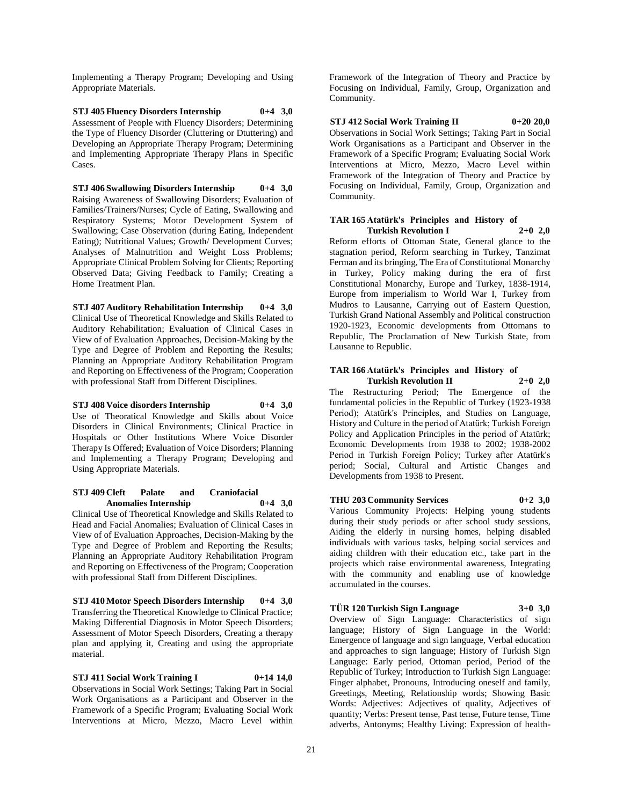Implementing a Therapy Program; Developing and Using Appropriate Materials.

**STJ 405 Fluency Disorders Internship 0+4 3,0** Assessment of People with Fluency Disorders; Determining the Type of Fluency Disorder (Cluttering or Dtuttering) and Developing an Appropriate Therapy Program; Determining and Implementing Appropriate Therapy Plans in Specific Cases.

**STJ 406 Swallowing Disorders Internship 0+4 3,0** Raising Awareness of Swallowing Disorders; Evaluation of Families/Trainers/Nurses; Cycle of Eating, Swallowing and Respiratory Systems; Motor Development System of Swallowing; Case Observation (during Eating, Independent Eating); Nutritional Values; Growth/ Development Curves; Analyses of Malnutrition and Weight Loss Problems; Appropriate Clinical Problem Solving for Clients; Reporting Observed Data; Giving Feedback to Family; Creating a Home Treatment Plan.

**STJ 407 Auditory Rehabilitation Internship 0+4 3,0** Clinical Use of Theoretical Knowledge and Skills Related to Auditory Rehabilitation; Evaluation of Clinical Cases in View of of Evaluation Approaches, Decision-Making by the Type and Degree of Problem and Reporting the Results; Planning an Appropriate Auditory Rehabilitation Program and Reporting on Effectiveness of the Program; Cooperation with professional Staff from Different Disciplines.

**STJ 408 Voice disorders Internship 0+4 3,0** Use of Theoratical Knowledge and Skills about Voice Disorders in Clinical Environments; Clinical Practice in Hospitals or Other Institutions Where Voice Disorder Therapy Is Offered; Evaluation of Voice Disorders; Planning and Implementing a Therapy Program; Developing and Using Appropriate Materials.

**STJ 409 Cleft Palate and Craniofacial Anomalies Internship 0+4 3,0** Clinical Use of Theoretical Knowledge and Skills Related to Head and Facial Anomalies; Evaluation of Clinical Cases in View of of Evaluation Approaches, Decision-Making by the Type and Degree of Problem and Reporting the Results; Planning an Appropriate Auditory Rehabilitation Program and Reporting on Effectiveness of the Program; Cooperation

with professional Staff from Different Disciplines.

**STJ 410 Motor Speech Disorders Internship 0+4 3,0** Transferring the Theoretical Knowledge to Clinical Practice; Making Differential Diagnosis in Motor Speech Disorders; Assessment of Motor Speech Disorders, Creating a therapy plan and applying it, Creating and using the appropriate material.

**STJ 411 Social Work Training I 0+14 14,0** Observations in Social Work Settings; Taking Part in Social Work Organisations as a Participant and Observer in the Framework of a Specific Program; Evaluating Social Work Interventions at Micro, Mezzo, Macro Level within

Framework of the Integration of Theory and Practice by Focusing on Individual, Family, Group, Organization and Community.

**STJ 412 Social Work Training II 0+20 20,0** Observations in Social Work Settings; Taking Part in Social Work Organisations as a Participant and Observer in the Framework of a Specific Program; Evaluating Social Work Interventions at Micro, Mezzo, Macro Level within Framework of the Integration of Theory and Practice by Focusing on Individual, Family, Group, Organization and Community.

#### **TAR 165 Atatürk's Principles and History of Turkish Revolution I 2+0 2,0**

Reform efforts of Ottoman State, General glance to the stagnation period, Reform searching in Turkey, Tanzimat Ferman and its bringing, The Era of Constitutional Monarchy in Turkey, Policy making during the era of first Constitutional Monarchy, Europe and Turkey, 1838-1914, Europe from imperialism to World War I, Turkey from Mudros to Lausanne, Carrying out of Eastern Question, Turkish Grand National Assembly and Political construction 1920-1923, Economic developments from Ottomans to Republic, The Proclamation of New Turkish State, from Lausanne to Republic.

#### **TAR 166 Atatürk's Principles and History of Turkish Revolution II 2+0 2,0**

The Restructuring Period; The Emergence of the fundamental policies in the Republic of Turkey (1923-1938 Period); Atatürk's Principles, and Studies on Language, History and Culture in the period of Atatürk; Turkish Foreign Policy and Application Principles in the period of Atatürk; Economic Developments from 1938 to 2002; 1938-2002 Period in Turkish Foreign Policy; Turkey after Atatürk's period; Social, Cultural and Artistic Changes and Developments from 1938 to Present.

**THU 203 Community Services 0+2 3,0** Various Community Projects: Helping young students during their study periods or after school study sessions, Aiding the elderly in nursing homes, helping disabled individuals with various tasks, helping social services and aiding children with their education etc., take part in the projects which raise environmental awareness, Integrating with the community and enabling use of knowledge

accumulated in the courses.

**TÜR 120 Turkish Sign Language 3+0 3,0** Overview of Sign Language: Characteristics of sign language; History of Sign Language in the World: Emergence of language and sign language, Verbal education and approaches to sign language; History of Turkish Sign Language: Early period, Ottoman period, Period of the Republic of Turkey; Introduction to Turkish Sign Language: Finger alphabet, Pronouns, Introducing oneself and family, Greetings, Meeting, Relationship words; Showing Basic Words: Adjectives: Adjectives of quality, Adjectives of quantity; Verbs: Present tense, Past tense, Future tense, Time adverbs, Antonyms; Healthy Living: Expression of health